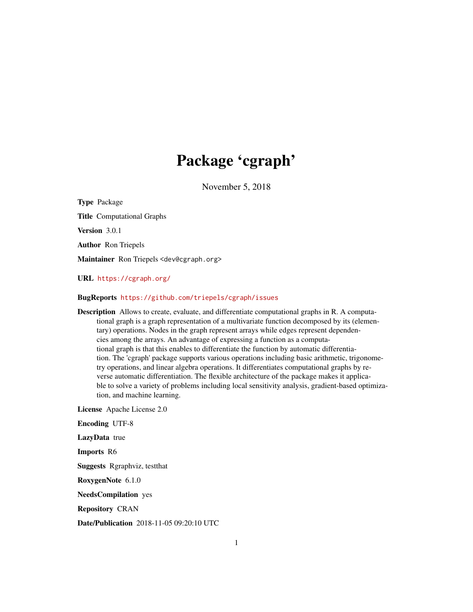# Package 'cgraph'

November 5, 2018

<span id="page-0-0"></span>Type Package Title Computational Graphs Version 3.0.1 Author Ron Triepels Maintainer Ron Triepels <dev@cgraph.org> URL <https://cgraph.org/>

### BugReports <https://github.com/triepels/cgraph/issues>

Description Allows to create, evaluate, and differentiate computational graphs in R. A computational graph is a graph representation of a multivariate function decomposed by its (elementary) operations. Nodes in the graph represent arrays while edges represent dependencies among the arrays. An advantage of expressing a function as a computational graph is that this enables to differentiate the function by automatic differentiation. The 'cgraph' package supports various operations including basic arithmetic, trigonometry operations, and linear algebra operations. It differentiates computational graphs by reverse automatic differentiation. The flexible architecture of the package makes it applicable to solve a variety of problems including local sensitivity analysis, gradient-based optimization, and machine learning.

License Apache License 2.0

Encoding UTF-8 LazyData true Imports R6 Suggests Rgraphviz, testthat RoxygenNote 6.1.0 NeedsCompilation yes Repository CRAN

Date/Publication 2018-11-05 09:20:10 UTC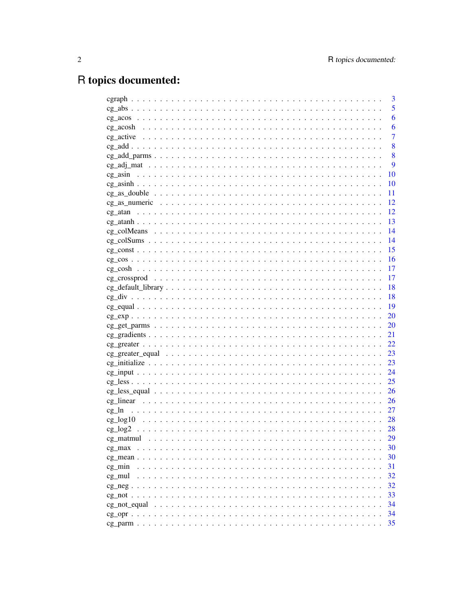# R topics documented:

|                                 | 3              |
|---------------------------------|----------------|
|                                 | 5              |
|                                 | 6              |
|                                 | 6              |
|                                 | $\overline{7}$ |
|                                 | 8              |
|                                 | 8              |
|                                 | 9              |
|                                 | 10             |
|                                 | 10             |
|                                 | 11             |
|                                 | 12             |
| cg atan                         | 12             |
|                                 | 13             |
| cg colMeans                     | 14             |
|                                 | 14             |
|                                 | 15             |
| $cg \cos                      $ | 16             |
|                                 | 17             |
|                                 | 17             |
|                                 | 18             |
|                                 | 18             |
|                                 | 19             |
|                                 | 20             |
|                                 | 20             |
|                                 | 21             |
|                                 | 22             |
|                                 | 23             |
|                                 | 23             |
|                                 | 24             |
|                                 | 25             |
|                                 | 26             |
|                                 | 26             |
|                                 | 27             |
|                                 | 28             |
|                                 | 28             |
|                                 | 29             |
| cg max                          | 30             |
| cg mean                         | 30             |
| cg min                          | 31             |
| cg mul                          | 32             |
|                                 | 32             |
|                                 | 33             |
|                                 | 34             |
| cg not equal                    |                |
|                                 | 34             |
|                                 | 35             |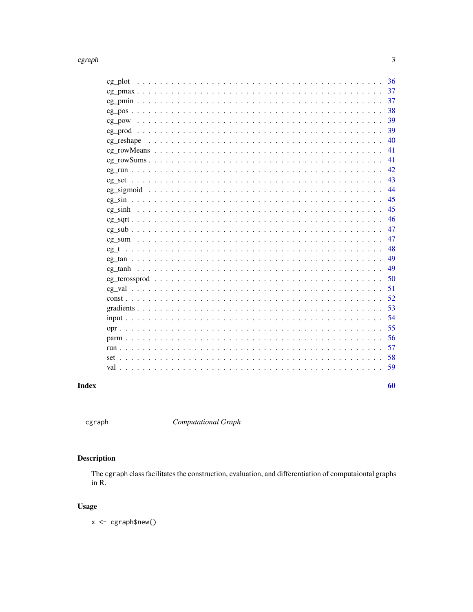### <span id="page-2-0"></span>cgraph

| cg plot                                                                                                         | - 36 |
|-----------------------------------------------------------------------------------------------------------------|------|
|                                                                                                                 | 37   |
|                                                                                                                 | -37  |
|                                                                                                                 | 38   |
| $cg\_pow \dots \dots \dots \dots \dots \dots \dots \dots \dots \dots \dots \dots \dots \dots \dots \dots \dots$ | 39   |
|                                                                                                                 | 39   |
|                                                                                                                 | 40   |
|                                                                                                                 | 41   |
| $cg_{row}Sums \dots \dots \dots \dots \dots \dots \dots \dots \dots \dots \dots \dots \dots \dots \dots \dots$  | 41   |
|                                                                                                                 | 42   |
| $cg \text{ set }                     $                                                                          | 43   |
|                                                                                                                 | 44   |
|                                                                                                                 | 45   |
|                                                                                                                 | 45   |
|                                                                                                                 | 46   |
|                                                                                                                 | 47   |
|                                                                                                                 | 47   |
|                                                                                                                 | 48   |
| $cg \tan                      $                                                                                 | 49   |
|                                                                                                                 | 49   |
|                                                                                                                 | 50   |
|                                                                                                                 | 51   |
|                                                                                                                 | 52   |
|                                                                                                                 |      |
|                                                                                                                 | - 54 |
|                                                                                                                 | 55   |
|                                                                                                                 | 56   |
|                                                                                                                 | 57   |
|                                                                                                                 | - 58 |
|                                                                                                                 | 59   |
|                                                                                                                 |      |
|                                                                                                                 | 60   |

### **Index**

**Computational Graph** 

## Description

The cgraph class facilitates the construction, evaluation, and differentiation of computaiontal graphs in  $R$ .

### **Usage**

x <- cgraph\$new()

 $\overline{\mathbf{3}}$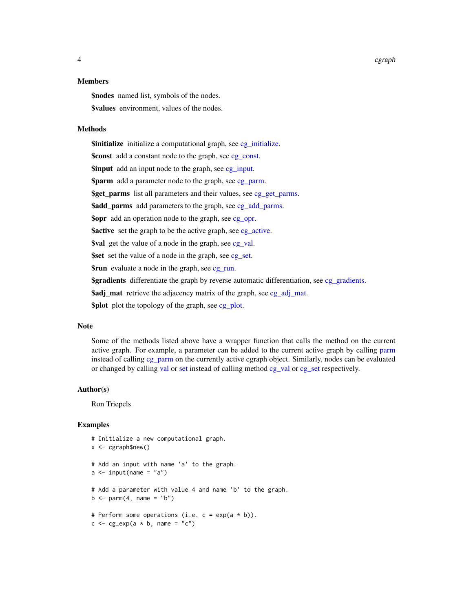<span id="page-3-0"></span>4 cgraph control of the control of the control of the control of the control of the control of the control of the control of the control of the control of the control of the control of the control of the control of the con

#### Members

\$nodes named list, symbols of the nodes. **\$values** environment, values of the nodes.

### Methods

\$initialize initialize a computational graph, see [cg\\_initialize.](#page-22-1) \$const add a constant node to the graph, see [cg\\_const.](#page-14-1) **\$input** add an input node to the graph, see [cg\\_input.](#page-23-1) **\$parm** add a parameter node to the graph, see [cg\\_parm.](#page-34-1) \$get\_parms list all parameters and their values, see [cg\\_get\\_parms.](#page-19-1) \$add\_parms add parameters to the graph, see [cg\\_add\\_parms.](#page-7-1) **\$opr** add an operation node to the graph, see [cg\\_opr.](#page-33-1) **\$active** set the graph to be the active graph, see eg active. \$val get the value of a node in the graph, see eg\_val. \$set set the value of a node in the graph, see [cg\\_set.](#page-42-1) **\$run** evaluate a node in the graph, see [cg\\_run.](#page-41-1) \$gradients differentiate the graph by reverse automatic differentiation, see [cg\\_gradients.](#page-20-1) **\$adj\_mat** retrieve the adjacency matrix of the graph, see [cg\\_adj\\_mat.](#page-8-1) \$plot plot the topology of the graph, see [cg\\_plot.](#page-35-1)

#### Note

Some of the methods listed above have a wrapper function that calls the method on the current active graph. For example, a parameter can be added to the current active graph by calling [parm](#page-55-1) instead of calling [cg\\_parm](#page-34-1) on the currently active cgraph object. Similarly, nodes can be evaluated or changed by calling [val](#page-58-1) or [set](#page-57-1) instead of calling method [cg\\_val](#page-50-1) or [cg\\_set](#page-42-1) respectively.

#### Author(s)

Ron Triepels

```
# Initialize a new computational graph.
x \leq -cgraph$new()
# Add an input with name 'a' to the graph.
a \leftarrow input(name = "a")# Add a parameter with value 4 and name 'b' to the graph.
b \leq -\text{perm}(4, \text{ name} = "b")# Perform some operations (i.e. c = exp(a * b)).
c \leq -cg_exp(a * b, name = "c")
```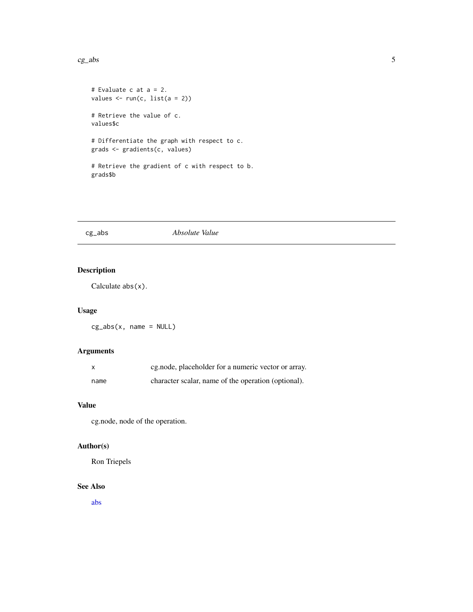#### <span id="page-4-0"></span> $c_{\mathcal{S}}$  abs

```
# Evaluate c at a = 2.
values <- run(c, list(a = 2))
# Retrieve the value of c.
values$c
# Differentiate the graph with respect to c.
grads <- gradients(c, values)
# Retrieve the gradient of c with respect to b.
grads$b
```
### cg\_abs *Absolute Value*

### Description

Calculate abs(x).

#### Usage

 $cg_abs(x, name = NULL)$ 

### Arguments

| <b>X</b> | cg.node, placeholder for a numeric vector or array. |
|----------|-----------------------------------------------------|
| name     | character scalar, name of the operation (optional). |

#### Value

cg.node, node of the operation.

### Author(s)

Ron Triepels

#### See Also

[abs](#page-0-0)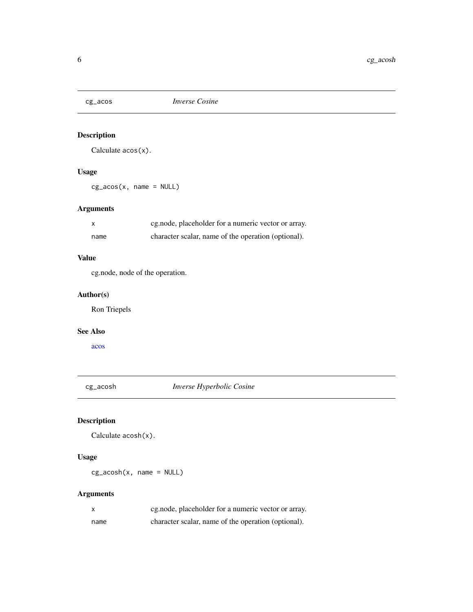<span id="page-5-0"></span>

Calculate acos(x).

### Usage

 $cg\_acos(x, name = NULL)$ 

### Arguments

| X    | eg.node, placeholder for a numeric vector or array. |
|------|-----------------------------------------------------|
| name | character scalar, name of the operation (optional). |

### Value

cg.node, node of the operation.

### Author(s)

Ron Triepels

### See Also

[acos](#page-0-0)

cg\_acosh *Inverse Hyperbolic Cosine*

### Description

Calculate acosh(x).

### Usage

 $cg_ a cosh(x, name = NULL)$ 

| X    | eg.node, placeholder for a numeric vector or array. |
|------|-----------------------------------------------------|
| name | character scalar, name of the operation (optional). |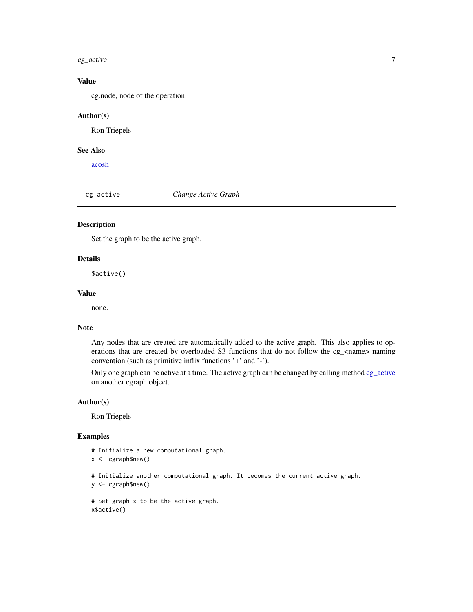#### <span id="page-6-0"></span> $c_{g\_active}$  7

#### Value

cg.node, node of the operation.

#### Author(s)

Ron Triepels

### See Also

[acosh](#page-0-0)

<span id="page-6-1"></span>cg\_active *Change Active Graph*

### Description

Set the graph to be the active graph.

### Details

\$active()

### Value

none.

#### Note

Any nodes that are created are automatically added to the active graph. This also applies to operations that are created by overloaded S3 functions that do not follow the cg\_<name> naming convention (such as primitive inflix functions '+' and '-').

Only one graph can be active at a time. The active graph can be changed by calling method [cg\\_active](#page-6-1) on another cgraph object.

#### Author(s)

Ron Triepels

```
# Initialize a new computational graph.
x <- cgraph$new()
# Initialize another computational graph. It becomes the current active graph.
y <- cgraph$new()
# Set graph x to be the active graph.
x$active()
```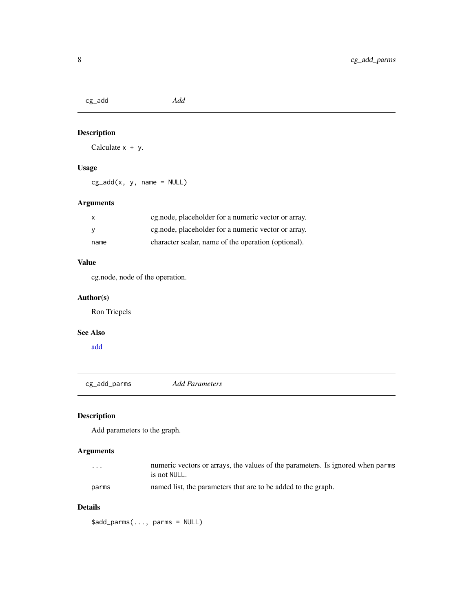<span id="page-7-0"></span>cg\_add *Add*

### Description

Calculate  $x + y$ .

### Usage

 $cg\_add(x, y, name = NULL)$ 

### Arguments

| $\mathsf{x}$ | eg.node, placeholder for a numeric vector or array. |
|--------------|-----------------------------------------------------|
|              | eg.node, placeholder for a numeric vector or array. |
| name         | character scalar, name of the operation (optional). |

### Value

cg.node, node of the operation.

### Author(s)

Ron Triepels

### See Also

[add](#page-0-0)

<span id="page-7-1"></span>cg\_add\_parms *Add Parameters*

### Description

Add parameters to the graph.

### Arguments

| $\cdot$ | numeric vectors or arrays, the values of the parameters. Is ignored when parms<br>is not NULL. |
|---------|------------------------------------------------------------------------------------------------|
| parms   | named list, the parameters that are to be added to the graph.                                  |

### Details

\$add\_parms(..., parms = NULL)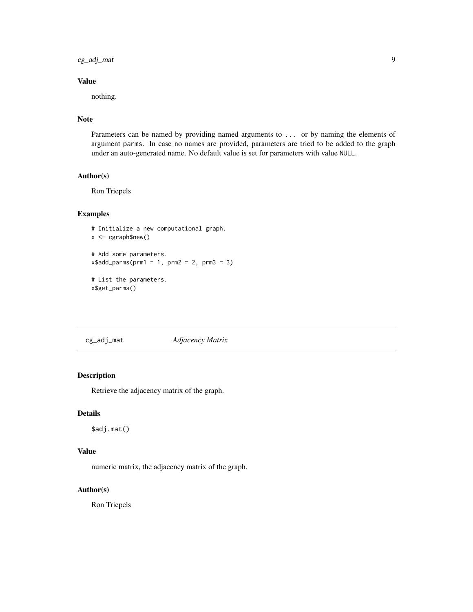<span id="page-8-0"></span>cg\_adj\_mat 9

### Value

nothing.

### Note

Parameters can be named by providing named arguments to ... or by naming the elements of argument parms. In case no names are provided, parameters are tried to be added to the graph under an auto-generated name. No default value is set for parameters with value NULL.

#### Author(s)

Ron Triepels

#### Examples

```
# Initialize a new computational graph.
x <- cgraph$new()
# Add some parameters.
x$add_params(prm1 = 1, prm2 = 2, prm3 = 3)# List the parameters.
x$get_parms()
```
<span id="page-8-1"></span>cg\_adj\_mat *Adjacency Matrix*

### Description

Retrieve the adjacency matrix of the graph.

### Details

\$adj.mat()

### Value

numeric matrix, the adjacency matrix of the graph.

#### Author(s)

Ron Triepels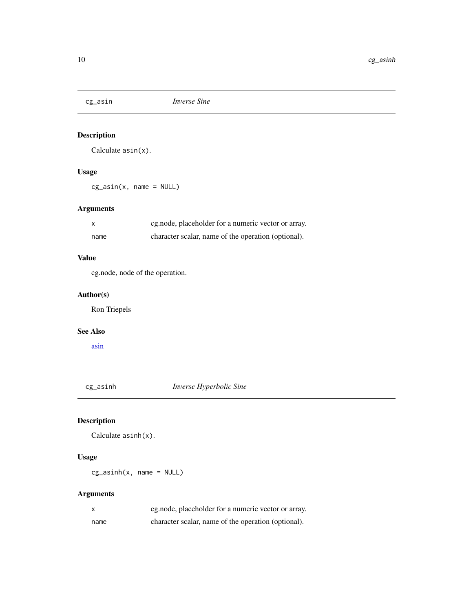<span id="page-9-0"></span>

Calculate asin(x).

### Usage

 $cg\_asin(x, name = NULL)$ 

### Arguments

| $\mathsf{x}$ | cg.node, placeholder for a numeric vector or array. |
|--------------|-----------------------------------------------------|
| name         | character scalar, name of the operation (optional). |

### Value

cg.node, node of the operation.

### Author(s)

Ron Triepels

### See Also

[asin](#page-0-0)

cg\_asinh *Inverse Hyperbolic Sine*

### Description

Calculate asinh(x).

### Usage

 $cg\_asinh(x, name = NULL)$ 

| X    | eg.node, placeholder for a numeric vector or array. |
|------|-----------------------------------------------------|
| name | character scalar, name of the operation (optional). |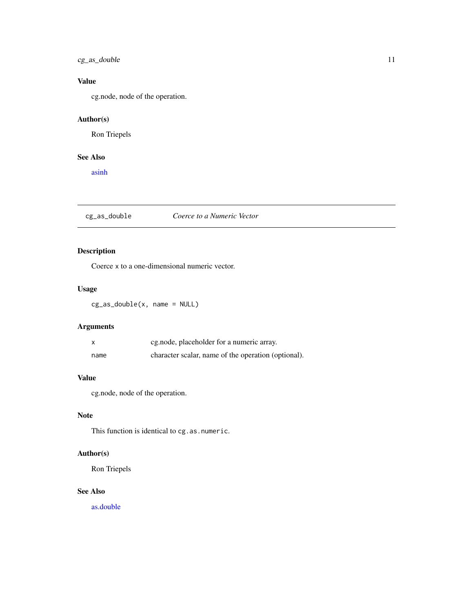### <span id="page-10-0"></span>cg\_as\_double 11

### Value

cg.node, node of the operation.

### Author(s)

Ron Triepels

### See Also

[asinh](#page-0-0)

### cg\_as\_double *Coerce to a Numeric Vector*

### Description

Coerce x to a one-dimensional numeric vector.

### Usage

cg\_as\_double(x, name = NULL)

### Arguments

|      | eg.node, placeholder for a numeric array.           |
|------|-----------------------------------------------------|
| name | character scalar, name of the operation (optional). |

#### Value

cg.node, node of the operation.

#### Note

This function is identical to cg.as.numeric.

### Author(s)

Ron Triepels

#### See Also

[as.double](#page-0-0)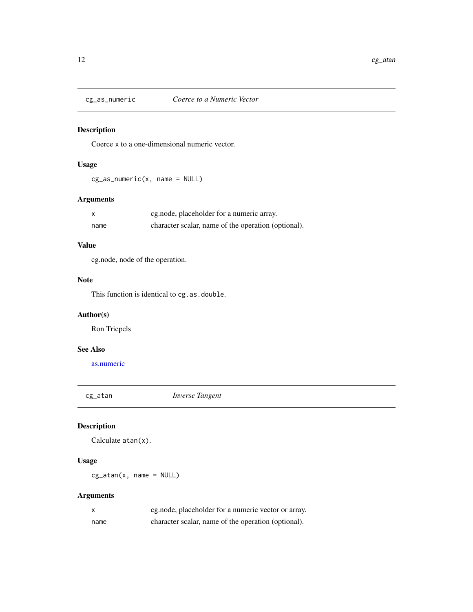<span id="page-11-0"></span>

Coerce x to a one-dimensional numeric vector.

### Usage

 $cg_as_mmeric(x, name = NULL)$ 

### Arguments

| X    | eg.node, placeholder for a numeric array.           |
|------|-----------------------------------------------------|
| name | character scalar, name of the operation (optional). |

### Value

cg.node, node of the operation.

#### Note

This function is identical to cg.as.double.

### Author(s)

Ron Triepels

### See Also

[as.numeric](#page-0-0)

cg\_atan *Inverse Tangent*

### Description

Calculate atan(x).

### Usage

 $cg_atan(x, name = NULL)$ 

| $\mathsf{x}$ | eg.node, placeholder for a numeric vector or array. |
|--------------|-----------------------------------------------------|
| name         | character scalar, name of the operation (optional). |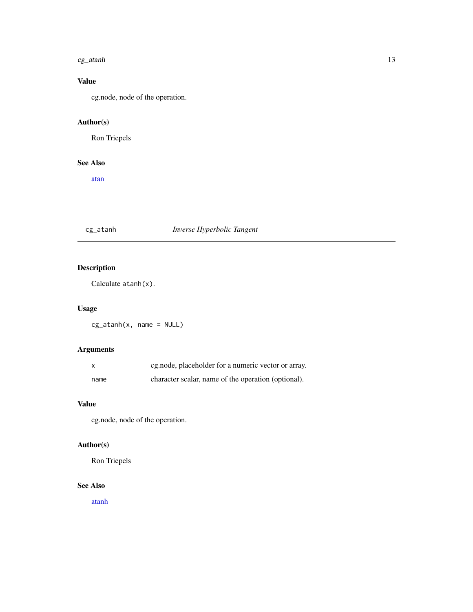#### <span id="page-12-0"></span> $c_{g\_atanh}$  13

### Value

cg.node, node of the operation.

### Author(s)

Ron Triepels

### See Also

[atan](#page-0-0)

### cg\_atanh *Inverse Hyperbolic Tangent*

### Description

Calculate atanh(x).

### Usage

 $cg_atanh(x, name = NULL)$ 

### Arguments

|      | cg.node, placeholder for a numeric vector or array. |
|------|-----------------------------------------------------|
| name | character scalar, name of the operation (optional). |

### Value

cg.node, node of the operation.

### Author(s)

Ron Triepels

### See Also

[atanh](#page-0-0)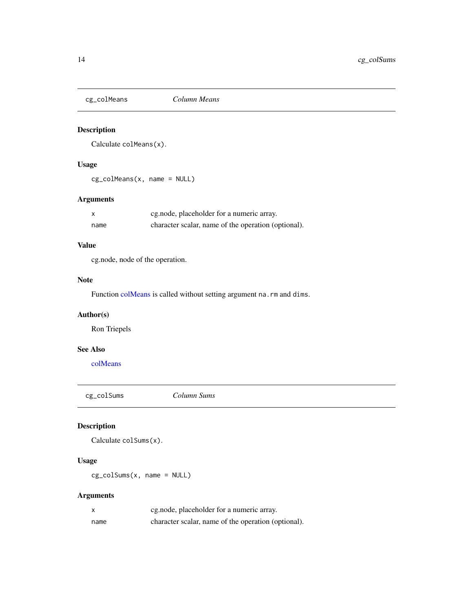<span id="page-13-0"></span>

Calculate colMeans(x).

### Usage

cg\_colMeans(x, name = NULL)

### Arguments

| X    | eg.node, placeholder for a numeric array.           |
|------|-----------------------------------------------------|
| name | character scalar, name of the operation (optional). |

### Value

cg.node, node of the operation.

### Note

Function [colMeans](#page-0-0) is called without setting argument na.rm and dims.

### Author(s)

Ron Triepels

### See Also

[colMeans](#page-0-0)

cg\_colSums *Column Sums*

### Description

```
Calculate colSums(x).
```
### Usage

cg\_colSums(x, name = NULL)

| x    | eg.node, placeholder for a numeric array.           |
|------|-----------------------------------------------------|
| name | character scalar, name of the operation (optional). |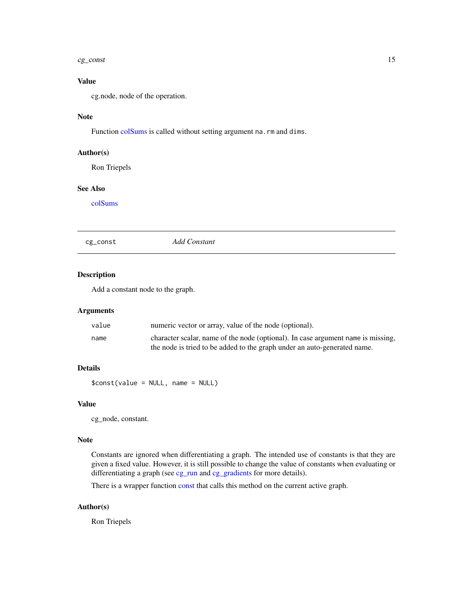#### <span id="page-14-0"></span> $c$ g\_const  $15$

### Value

cg.node, node of the operation.

### Note

Function [colSums](#page-0-0) is called without setting argument na.rm and dims.

#### Author(s)

Ron Triepels

### See Also

[colSums](#page-0-0)

<span id="page-14-1"></span>cg\_const *Add Constant*

#### Description

Add a constant node to the graph.

### Arguments

| value | numeric vector or array, value of the node (optional).                           |
|-------|----------------------------------------------------------------------------------|
| name  | character scalar, name of the node (optional). In case argument name is missing, |
|       | the node is tried to be added to the graph under an auto-generated name.         |

### Details

\$const(value = NULL, name = NULL)

#### Value

cg\_node, constant.

#### Note

Constants are ignored when differentiating a graph. The intended use of constants is that they are given a fixed value. However, it is still possible to change the value of constants when evaluating or differentiating a graph (see [cg\\_run](#page-41-1) and [cg\\_gradients](#page-20-1) for more details).

There is a wrapper function [const](#page-51-1) that calls this method on the current active graph.

#### Author(s)

Ron Triepels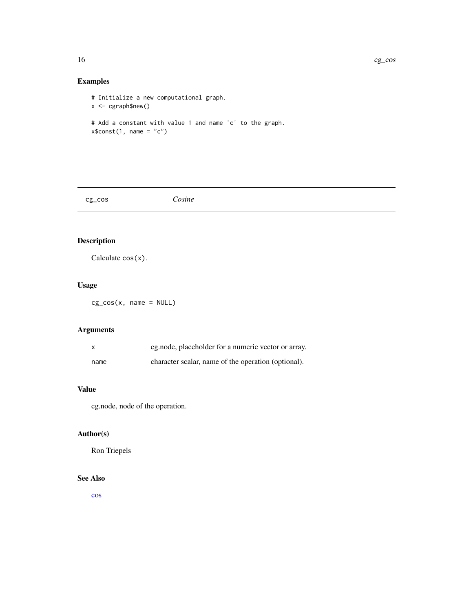<span id="page-15-0"></span>16 cg\_cos

### Examples

# Initialize a new computational graph. x <- cgraph\$new() # Add a constant with value 1 and name 'c' to the graph.

 $x$const(1, name = "c")$ 

cg\_cos *Cosine*

### Description

Calculate cos(x).

### Usage

cg\_cos(x, name = NULL)

### Arguments

| X    | cg.node, placeholder for a numeric vector or array. |
|------|-----------------------------------------------------|
| name | character scalar, name of the operation (optional). |

### Value

cg.node, node of the operation.

### Author(s)

Ron Triepels

### See Also

[cos](#page-0-0)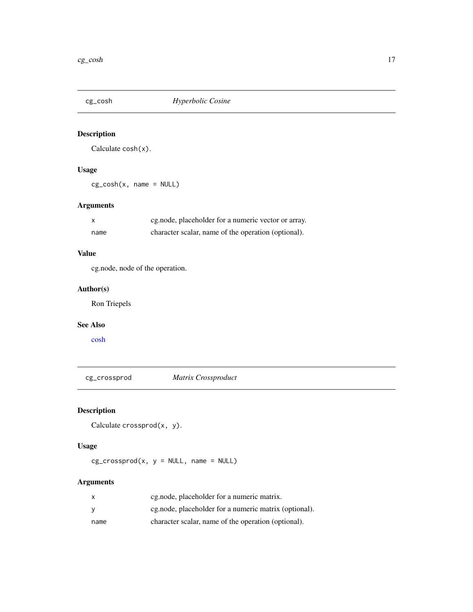<span id="page-16-0"></span>

Calculate cosh(x).

### Usage

cg\_cosh(x, name = NULL)

### Arguments

|      | eg.node, placeholder for a numeric vector or array. |
|------|-----------------------------------------------------|
| name | character scalar, name of the operation (optional). |

#### Value

cg.node, node of the operation.

### Author(s)

Ron Triepels

### See Also

[cosh](#page-0-0)

cg\_crossprod *Matrix Crossproduct*

### Description

Calculate crossprod(x, y).

### Usage

 $cg\_crossprod(x, y = NULL, name = NULL)$ 

| x    | eg.node, placeholder for a numeric matrix.            |
|------|-------------------------------------------------------|
| v    | eg.node, placeholder for a numeric matrix (optional). |
| name | character scalar, name of the operation (optional).   |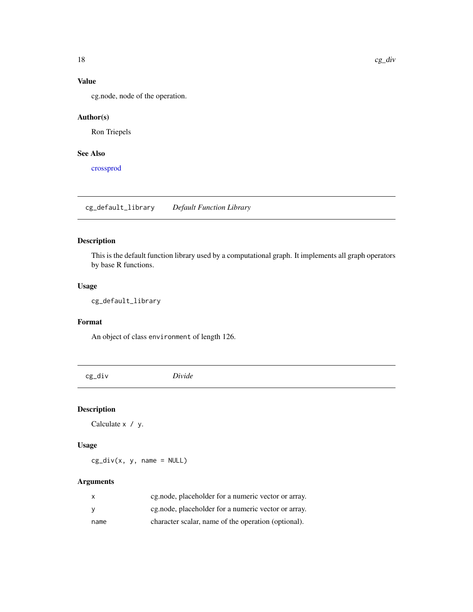### Value

cg.node, node of the operation.

### Author(s)

Ron Triepels

### See Also

[crossprod](#page-0-0)

<span id="page-17-1"></span>cg\_default\_library *Default Function Library*

### Description

This is the default function library used by a computational graph. It implements all graph operators by base R functions.

#### Usage

cg\_default\_library

#### Format

An object of class environment of length 126.

cg\_div *Divide*

### Description

Calculate x / y.

### Usage

 $cg\_div(x, y, name = NULL)$ 

| X        | eg, node, placeholder for a numeric vector or array. |
|----------|------------------------------------------------------|
| <b>V</b> | eg, node, placeholder for a numeric vector or array. |
| name     | character scalar, name of the operation (optional).  |

<span id="page-17-0"></span>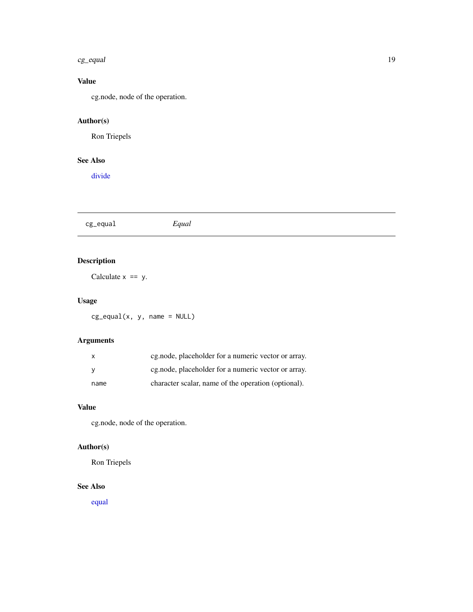#### <span id="page-18-0"></span> $c_{\mathcal{S}}$  equal  $19$

### Value

cg.node, node of the operation.

### Author(s)

Ron Triepels

### See Also

[divide](#page-0-0)

cg\_equal *Equal*

## Description

Calculate  $x == y$ .

### Usage

cg\_equal(x, y, name = NULL)

### Arguments

|      | cg.node, placeholder for a numeric vector or array.  |
|------|------------------------------------------------------|
|      | eg, node, placeholder for a numeric vector or array. |
| name | character scalar, name of the operation (optional).  |

### Value

cg.node, node of the operation.

### Author(s)

Ron Triepels

### See Also

[equal](#page-0-0)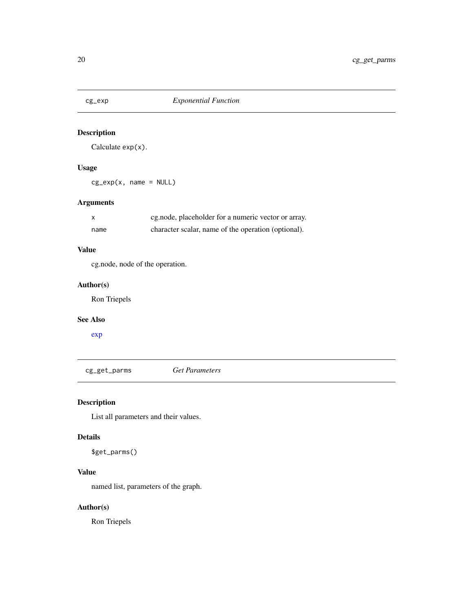<span id="page-19-0"></span>

Calculate exp(x).

### Usage

 $cg\_exp(x, name = NULL)$ 

### Arguments

| X    | cg.node, placeholder for a numeric vector or array. |
|------|-----------------------------------------------------|
| name | character scalar, name of the operation (optional). |

#### Value

cg.node, node of the operation.

### Author(s)

Ron Triepels

#### See Also

[exp](#page-0-0)

<span id="page-19-1"></span>cg\_get\_parms *Get Parameters*

### Description

List all parameters and their values.

#### Details

\$get\_parms()

### Value

named list, parameters of the graph.

### Author(s)

Ron Triepels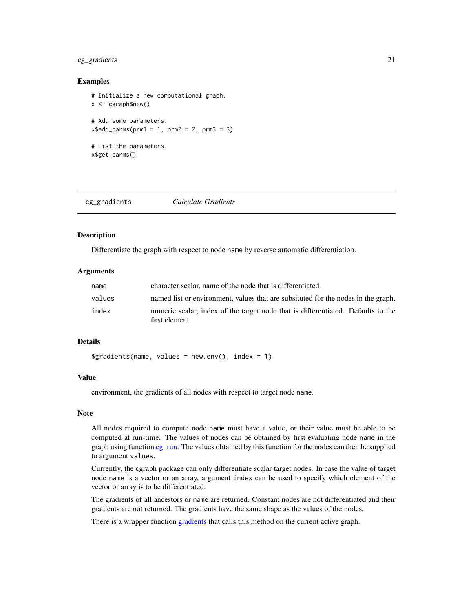#### <span id="page-20-0"></span>cg\_gradients 21

#### Examples

```
# Initialize a new computational graph.
x \leq -cgraph$new()
# Add some parameters.
x$add_params(prm1 = 1, prm2 = 2, prm3 = 3)# List the parameters.
x$get_parms()
```
<span id="page-20-1"></span>

| cg_gradients<br>Calculate Gradients |  |
|-------------------------------------|--|
|-------------------------------------|--|

### Description

Differentiate the graph with respect to node name by reverse automatic differentiation.

#### Arguments

| name   | character scalar, name of the node that is differentiated.                                         |
|--------|----------------------------------------------------------------------------------------------------|
| values | named list or environment, values that are subsituted for the nodes in the graph.                  |
| index  | numeric scalar, index of the target node that is differentiated. Defaults to the<br>first element. |

### Details

 $$gradients(name, values = newenv(), index = 1)$ 

### Value

environment, the gradients of all nodes with respect to target node name.

#### Note

All nodes required to compute node name must have a value, or their value must be able to be computed at run-time. The values of nodes can be obtained by first evaluating node name in the graph using function [cg\\_run.](#page-41-1) The values obtained by this function for the nodes can then be supplied to argument values.

Currently, the cgraph package can only differentiate scalar target nodes. In case the value of target node name is a vector or an array, argument index can be used to specify which element of the vector or array is to be differentiated.

The gradients of all ancestors or name are returned. Constant nodes are not differentiated and their gradients are not returned. The gradients have the same shape as the values of the nodes.

There is a wrapper function [gradients](#page-52-1) that calls this method on the current active graph.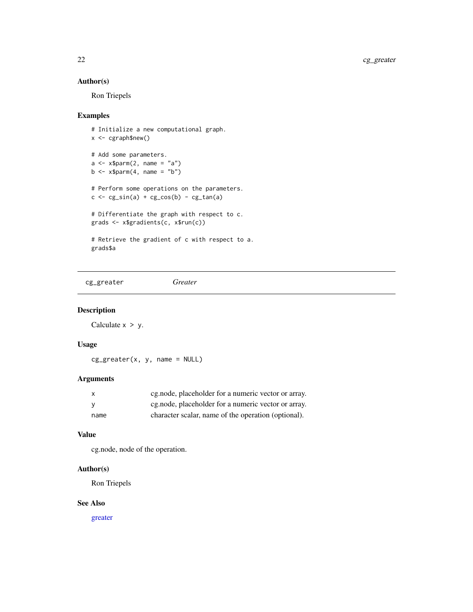#### Author(s)

Ron Triepels

### Examples

```
# Initialize a new computational graph.
x <- cgraph$new()
# Add some parameters.
a \leq x$parm(2, name = "a")b \leq -x$parm(4, name = "b")# Perform some operations on the parameters.
c \leftarrow cg\_sin(a) + cg\_cos(b) - cg\_tan(a)# Differentiate the graph with respect to c.
grads <- x$gradients(c, x$run(c))
# Retrieve the gradient of c with respect to a.
grads$a
```
cg\_greater *Greater*

#### Description

Calculate  $x > y$ .

### Usage

cg\_greater(x, y, name = NULL)

#### Arguments

| X    | eg.node, placeholder for a numeric vector or array. |
|------|-----------------------------------------------------|
|      | eg.node, placeholder for a numeric vector or array. |
| name | character scalar, name of the operation (optional). |

#### Value

cg.node, node of the operation.

#### Author(s)

Ron Triepels

#### See Also

[greater](#page-0-0)

<span id="page-21-0"></span>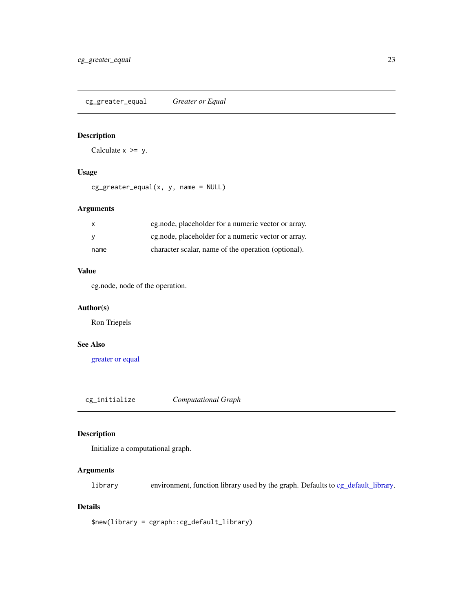<span id="page-22-0"></span>cg\_greater\_equal *Greater or Equal*

### Description

Calculate  $x \ge y$ .

#### Usage

cg\_greater\_equal(x, y, name = NULL)

### Arguments

| X    | cg.node, placeholder for a numeric vector or array. |
|------|-----------------------------------------------------|
|      | cg.node, placeholder for a numeric vector or array. |
| name | character scalar, name of the operation (optional). |

#### Value

cg.node, node of the operation.

#### Author(s)

Ron Triepels

### See Also

[greater or equal](#page-0-0)

<span id="page-22-1"></span>cg\_initialize *Computational Graph*

### Description

Initialize a computational graph.

### Arguments

library environment, function library used by the graph. Defaults to [cg\\_default\\_library.](#page-17-1)

### Details

\$new(library = cgraph::cg\_default\_library)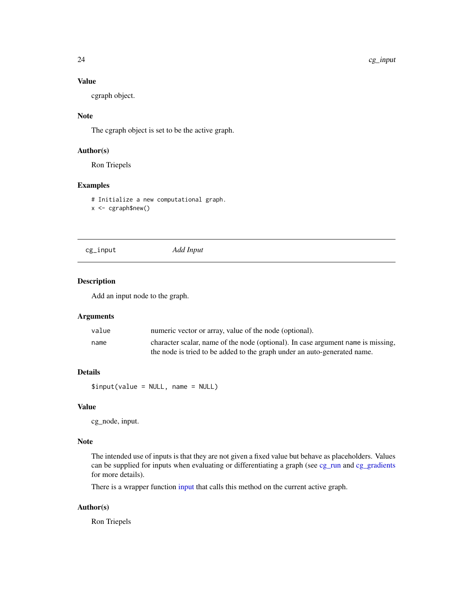### Value

cgraph object.

#### Note

The cgraph object is set to be the active graph.

### Author(s)

Ron Triepels

#### Examples

# Initialize a new computational graph. x <- cgraph\$new()

<span id="page-23-1"></span>cg\_input *Add Input*

#### Description

Add an input node to the graph.

#### Arguments

| value | numeric vector or array, value of the node (optional).                           |
|-------|----------------------------------------------------------------------------------|
| name  | character scalar, name of the node (optional). In case argument name is missing, |
|       | the node is tried to be added to the graph under an auto-generated name.         |

### Details

\$input(value = NULL, name = NULL)

#### Value

cg\_node, input.

#### Note

The intended use of inputs is that they are not given a fixed value but behave as placeholders. Values can be supplied for inputs when evaluating or differentiating a graph (see [cg\\_run](#page-41-1) and [cg\\_gradients](#page-20-1) for more details).

There is a wrapper function [input](#page-53-1) that calls this method on the current active graph.

#### Author(s)

Ron Triepels

<span id="page-23-0"></span>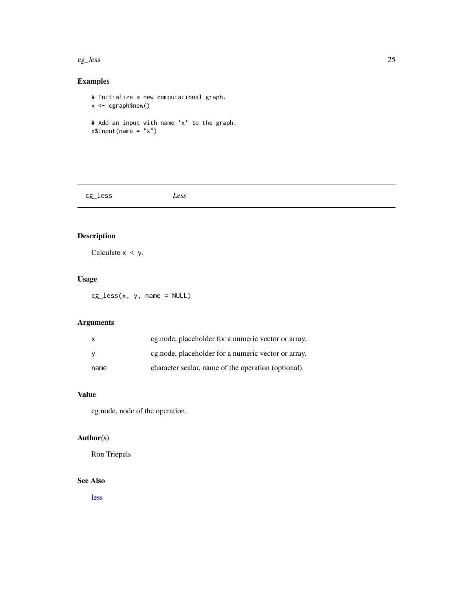#### <span id="page-24-0"></span> $c_{\mathcal{G}}$  less 25

### Examples

# Initialize a new computational graph. x <- cgraph\$new() # Add an input with name 'x' to the graph.  $x$input(name = "x")$ 

cg\_less *Less*

### Description

Calculate  $x < y$ .

### Usage

cg\_less(x, y, name = NULL)

### Arguments

| X    | eg.node, placeholder for a numeric vector or array. |
|------|-----------------------------------------------------|
|      | eg.node, placeholder for a numeric vector or array. |
| name | character scalar, name of the operation (optional). |

#### Value

cg.node, node of the operation.

### Author(s)

Ron Triepels

### See Also

[less](#page-0-0)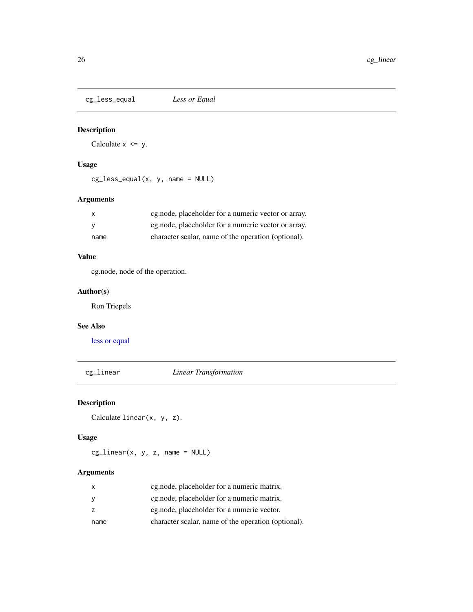<span id="page-25-0"></span>cg\_less\_equal *Less or Equal*

### Description

Calculate  $x \le y$ .

### Usage

cg\_less\_equal(x, y, name = NULL)

### Arguments

| X    | eg.node, placeholder for a numeric vector or array. |
|------|-----------------------------------------------------|
|      | cg.node, placeholder for a numeric vector or array. |
| name | character scalar, name of the operation (optional). |

### Value

cg.node, node of the operation.

### Author(s)

Ron Triepels

#### See Also

[less or equal](#page-0-0)

cg\_linear *Linear Transformation*

### Description

```
Calculate linear(x, y, z).
```
### Usage

 $cg\_linear(x, y, z, name = NULL)$ 

| X    | cg.node, placeholder for a numeric matrix.          |
|------|-----------------------------------------------------|
| У    | cg.node, placeholder for a numeric matrix.          |
| z    | eg.node, placeholder for a numeric vector.          |
| name | character scalar, name of the operation (optional). |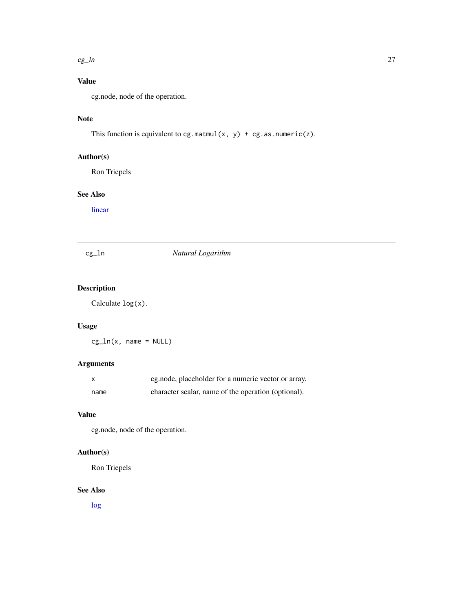#### <span id="page-26-0"></span> $c_g$ \_ln 27

### Value

cg.node, node of the operation.

### Note

This function is equivalent to cg.matmul(x, y) + cg.as.numeric(z).

### Author(s)

Ron Triepels

#### See Also

[linear](#page-0-0)

### cg\_ln *Natural Logarithm*

### Description

Calculate log(x).

### Usage

 $cg_ln(x, name = NULL)$ 

### Arguments

|      | cg.node, placeholder for a numeric vector or array. |
|------|-----------------------------------------------------|
| name | character scalar, name of the operation (optional). |

### Value

cg.node, node of the operation.

#### Author(s)

Ron Triepels

#### See Also

[log](#page-0-0)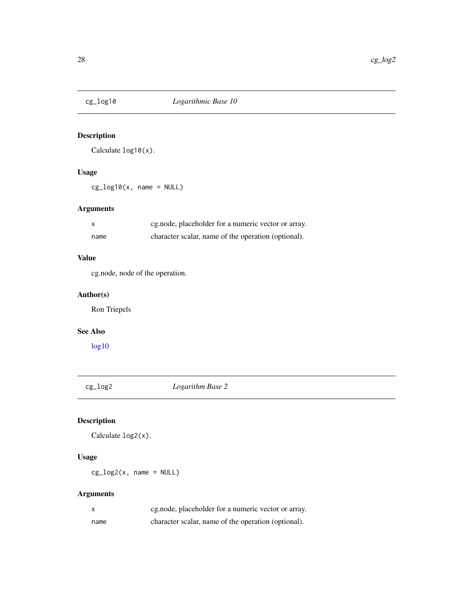<span id="page-27-0"></span>

Calculate log10(x).

### Usage

 $cg\_log10(x, name = NULL)$ 

### Arguments

| X    | eg.node, placeholder for a numeric vector or array. |
|------|-----------------------------------------------------|
| name | character scalar, name of the operation (optional). |

### Value

cg.node, node of the operation.

### Author(s)

Ron Triepels

### See Also

[log10](#page-0-0)

cg\_log2 *Logarithm Base 2*

### Description

Calculate log2(x).

### Usage

 $cg\_log2(x, name = NULL)$ 

| X    | eg.node, placeholder for a numeric vector or array. |
|------|-----------------------------------------------------|
| name | character scalar, name of the operation (optional). |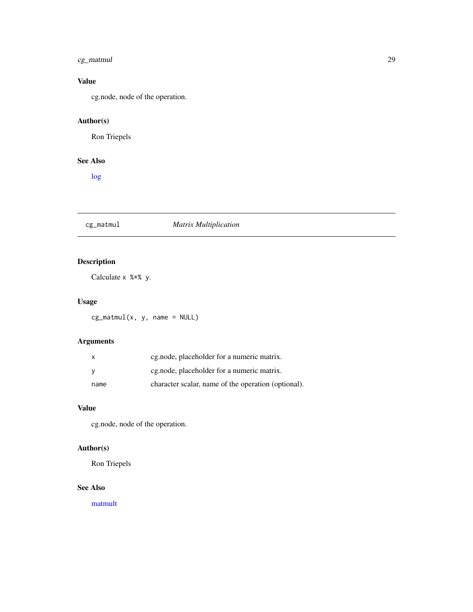### <span id="page-28-0"></span>cg\_matmul 29

### Value

cg.node, node of the operation.

### Author(s)

Ron Triepels

### See Also

[log](#page-0-0)

### cg\_matmul *Matrix Multiplication*

### Description

Calculate x %\*% y.

### Usage

 $cg\_matmul(x, y, name = NULL)$ 

### Arguments

| $\mathsf{x}$ | eg.node, placeholder for a numeric matrix.          |
|--------------|-----------------------------------------------------|
| - V          | eg.node, placeholder for a numeric matrix.          |
| name         | character scalar, name of the operation (optional). |

### Value

cg.node, node of the operation.

### Author(s)

Ron Triepels

#### See Also

[matmult](#page-0-0)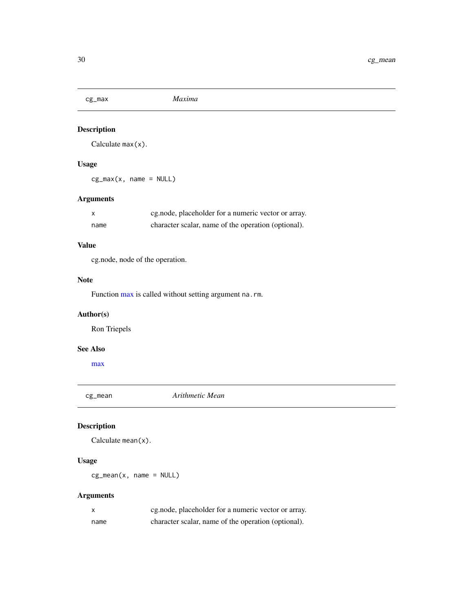<span id="page-29-0"></span>

Calculate max(x).

### Usage

cg\_max(x, name = NULL)

### Arguments

|      | eg.node, placeholder for a numeric vector or array. |
|------|-----------------------------------------------------|
| name | character scalar, name of the operation (optional). |

### Value

cg.node, node of the operation.

### Note

Function [max](#page-0-0) is called without setting argument na.rm.

### Author(s)

Ron Triepels

### See Also

[max](#page-0-0)

cg\_mean *Arithmetic Mean*

### Description

Calculate mean(x).

### Usage

 $cg_mean(x, name = NULL)$ 

| $\mathsf{x}$ | eg.node, placeholder for a numeric vector or array. |
|--------------|-----------------------------------------------------|
| name         | character scalar, name of the operation (optional). |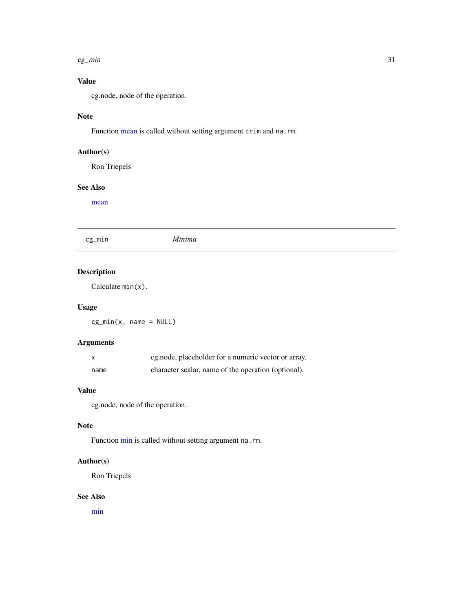#### <span id="page-30-0"></span> $c$ g\_min  $\frac{31}{2}$

### Value

cg.node, node of the operation.

### Note

Function [mean](#page-0-0) is called without setting argument trim and na.rm.

### Author(s)

Ron Triepels

### See Also

[mean](#page-0-0)

cg\_min *Minima*

### Description

Calculate min(x).

#### Usage

cg\_min(x, name = NULL)

### Arguments

| X    | cg.node, placeholder for a numeric vector or array. |
|------|-----------------------------------------------------|
| name | character scalar, name of the operation (optional). |

#### Value

cg.node, node of the operation.

### Note

Function [min](#page-0-0) is called without setting argument na.rm.

### Author(s)

Ron Triepels

#### See Also

[min](#page-0-0)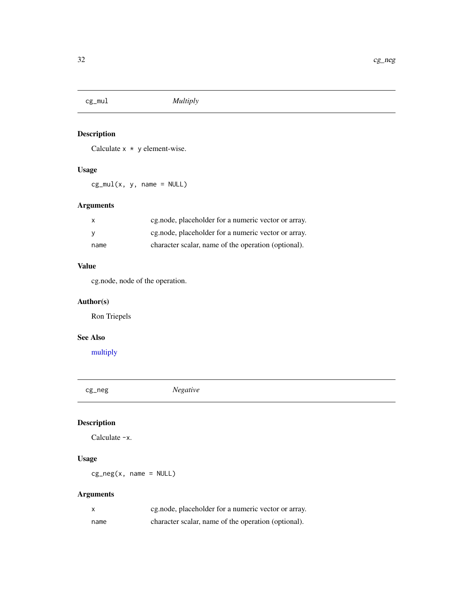<span id="page-31-0"></span>

Calculate  $x \times y$  element-wise.

### Usage

 $cg_mull(x, y, name = NULL)$ 

### Arguments

|      | eg.node, placeholder for a numeric vector or array. |
|------|-----------------------------------------------------|
|      | cg.node, placeholder for a numeric vector or array. |
| name | character scalar, name of the operation (optional). |

### Value

cg.node, node of the operation.

### Author(s)

Ron Triepels

### See Also

[multiply](#page-0-0)

cg\_neg *Negative*

### Description

Calculate -x.

### Usage

cg\_neg(x, name = NULL)

|      | eg.node, placeholder for a numeric vector or array. |
|------|-----------------------------------------------------|
| name | character scalar, name of the operation (optional). |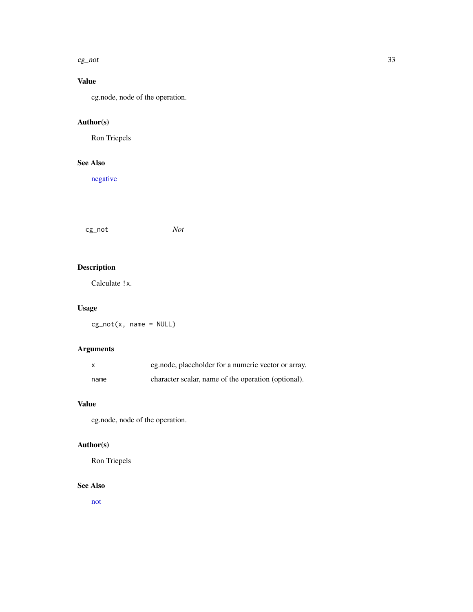#### <span id="page-32-0"></span> $c$ g\_not  $33$

### Value

cg.node, node of the operation.

## Author(s)

Ron Triepels

### See Also

[negative](#page-0-0)

cg\_not *Not*

### Description

Calculate !x.

### Usage

cg\_not(x, name = NULL)

### Arguments

|      | eg.node, placeholder for a numeric vector or array. |
|------|-----------------------------------------------------|
| name | character scalar, name of the operation (optional). |

### Value

cg.node, node of the operation.

### Author(s)

Ron Triepels

#### See Also

[not](#page-0-0)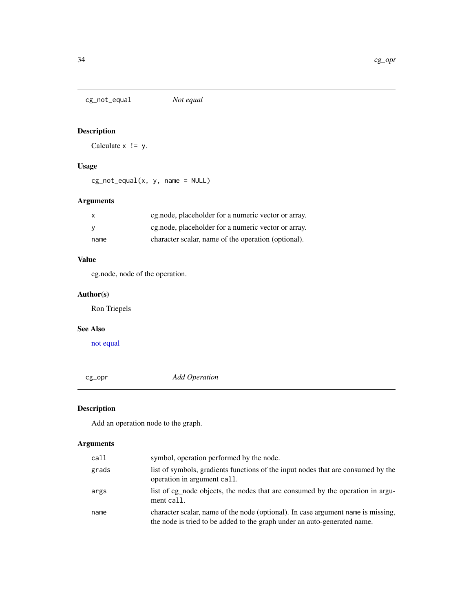<span id="page-33-0"></span>cg\_not\_equal *Not equal*

### Description

Calculate  $x$  != y.

### Usage

cg\_not\_equal(x, y, name = NULL)

### Arguments

| X    | eg.node, placeholder for a numeric vector or array. |
|------|-----------------------------------------------------|
| V    | eg.node, placeholder for a numeric vector or array. |
| name | character scalar, name of the operation (optional). |

### Value

cg.node, node of the operation.

### Author(s)

Ron Triepels

#### See Also

[not equal](#page-0-0)

<span id="page-33-1"></span>cg\_opr *Add Operation*

### Description

Add an operation node to the graph.

| call  | symbol, operation performed by the node.                                                                                                                     |
|-------|--------------------------------------------------------------------------------------------------------------------------------------------------------------|
| grads | list of symbols, gradients functions of the input nodes that are consumed by the<br>operation in argument call.                                              |
| args  | list of cg_node objects, the nodes that are consumed by the operation in argu-<br>ment call.                                                                 |
| name  | character scalar, name of the node (optional). In case argument name is missing,<br>the node is tried to be added to the graph under an auto-generated name. |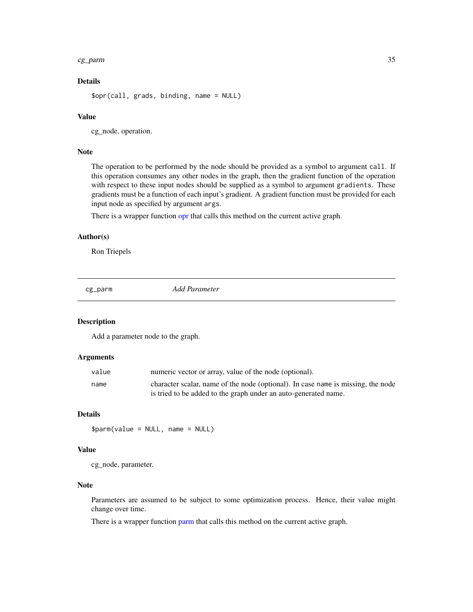#### <span id="page-34-0"></span>cg\_parm 35

### Details

```
$opr(call, grads, binding, name = NULL)
```
#### Value

cg\_node, operation.

#### Note

The operation to be performed by the node should be provided as a symbol to argument call. If this operation consumes any other nodes in the graph, then the gradient function of the operation with respect to these input nodes should be supplied as a symbol to argument gradients. These gradients must be a function of each input's gradient. A gradient function must be provided for each input node as specified by argument args.

There is a wrapper function [opr](#page-54-1) that calls this method on the current active graph.

#### Author(s)

Ron Triepels

<span id="page-34-1"></span>cg\_parm *Add Parameter*

#### Description

Add a parameter node to the graph.

### Arguments

| value | numeric vector or array, value of the node (optional).                                                                                              |
|-------|-----------------------------------------------------------------------------------------------------------------------------------------------------|
| name  | character scalar, name of the node (optional). In case name is missing, the node<br>is tried to be added to the graph under an auto-generated name. |

### Details

\$parm(value = NULL, name = NULL)

#### Value

cg\_node, parameter.

#### Note

Parameters are assumed to be subject to some optimization process. Hence, their value might change over time.

There is a wrapper function [parm](#page-55-1) that calls this method on the current active graph.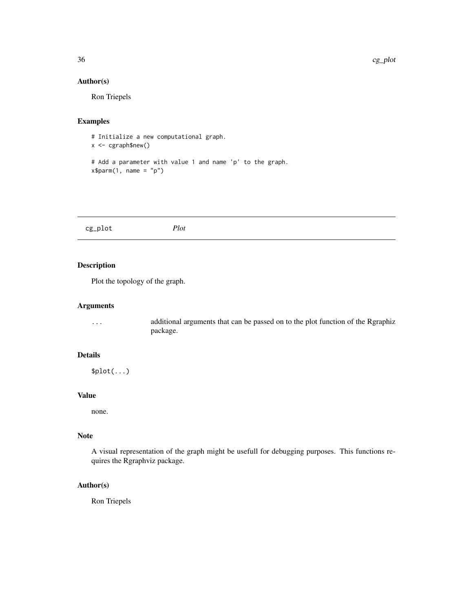#### Author(s)

Ron Triepels

#### Examples

# Initialize a new computational graph.  $x \leq -c$ graph\$new()

```
# Add a parameter with value 1 and name 'p' to the graph.
x$parm(1, name = "p")
```
<span id="page-35-1"></span>

| cg_plot<br>Plot |  |
|-----------------|--|
|-----------------|--|

### Description

Plot the topology of the graph.

#### Arguments

... additional arguments that can be passed on to the plot function of the Rgraphiz package.

#### Details

 $$plot(...)$ 

#### Value

none.

### Note

A visual representation of the graph might be usefull for debugging purposes. This functions requires the Rgraphviz package.

#### Author(s)

Ron Triepels

<span id="page-35-0"></span>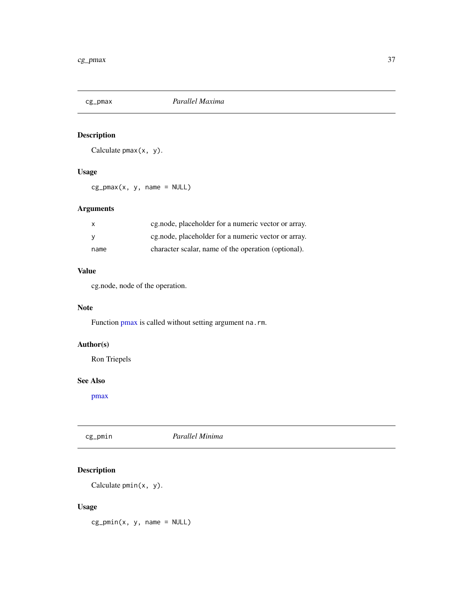<span id="page-36-0"></span>

Calculate  $pmax(x, y)$ .

### Usage

 $cg_pmax(x, y, name = NULL)$ 

### Arguments

| $\mathsf{X}$ | cg.node, placeholder for a numeric vector or array.  |
|--------------|------------------------------------------------------|
|              | eg, node, placeholder for a numeric vector or array. |
| name         | character scalar, name of the operation (optional).  |

#### Value

cg.node, node of the operation.

### Note

Function [pmax](#page-0-0) is called without setting argument na.rm.

### Author(s)

Ron Triepels

### See Also

[pmax](#page-0-0)

| Parallel Minima<br>cg_pmin |  |
|----------------------------|--|
|----------------------------|--|

### Description

Calculate pmin(x, y).

#### Usage

cg\_pmin(x, y, name = NULL)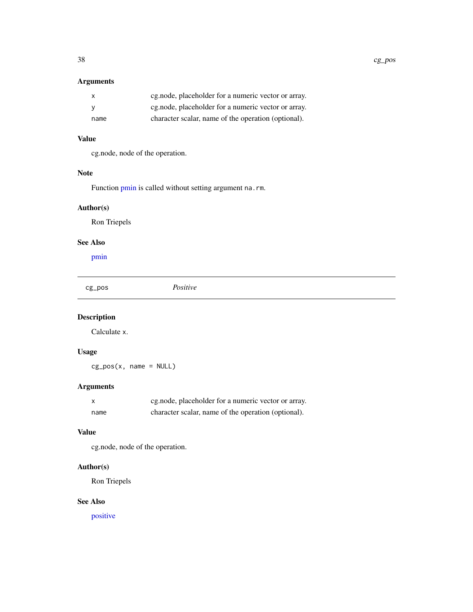### <span id="page-37-0"></span>Arguments

|      | eg.node, placeholder for a numeric vector or array. |
|------|-----------------------------------------------------|
|      | eg.node, placeholder for a numeric vector or array. |
| name | character scalar, name of the operation (optional). |

#### Value

cg.node, node of the operation.

#### Note

Function [pmin](#page-0-0) is called without setting argument na.rm.

### Author(s)

Ron Triepels

### See Also

[pmin](#page-0-0)

cg\_pos *Positive*

### Description

Calculate x.

### Usage

 $cg_pos(x, name = NULL)$ 

### Arguments

|      | eg.node, placeholder for a numeric vector or array. |
|------|-----------------------------------------------------|
| name | character scalar, name of the operation (optional). |

### Value

cg.node, node of the operation.

### Author(s)

Ron Triepels

### See Also

[positive](#page-0-0)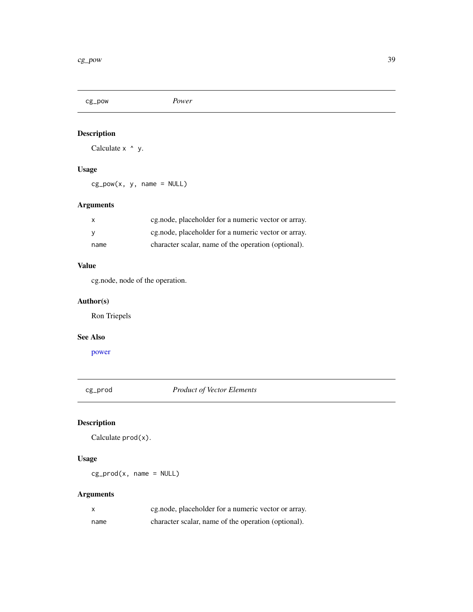<span id="page-38-0"></span>cg\_pow *Power*

### Description

Calculate x  $\land$  y.

### Usage

 $cg\_pow(x, y, name = NULL)$ 

### Arguments

| $\mathsf{x}$ | cg.node, placeholder for a numeric vector or array.  |
|--------------|------------------------------------------------------|
|              | eg, node, placeholder for a numeric vector or array. |
| name         | character scalar, name of the operation (optional).  |

### Value

cg.node, node of the operation.

### Author(s)

Ron Triepels

#### See Also

[power](#page-0-0)

cg\_prod *Product of Vector Elements*

### Description

Calculate prod(x).

### Usage

 $cg\_prod(x, name = NULL)$ 

| X    | eg.node, placeholder for a numeric vector or array. |
|------|-----------------------------------------------------|
| name | character scalar, name of the operation (optional). |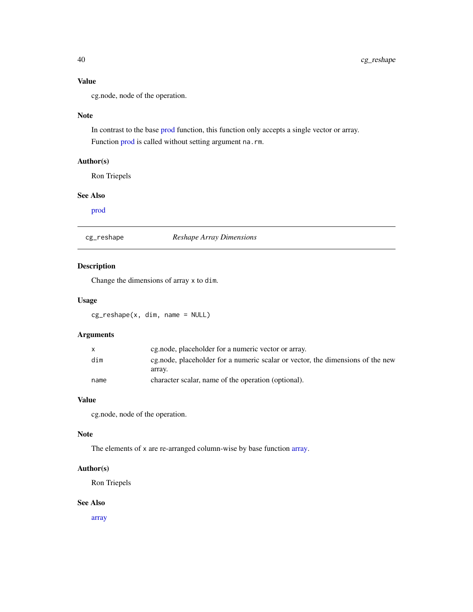### <span id="page-39-0"></span>Value

cg.node, node of the operation.

#### Note

In contrast to the base [prod](#page-0-0) function, this function only accepts a single vector or array. Function [prod](#page-0-0) is called without setting argument na.rm.

### Author(s)

Ron Triepels

#### See Also

[prod](#page-0-0)

cg\_reshape *Reshape Array Dimensions*

### Description

Change the dimensions of array x to dim.

#### Usage

cg\_reshape(x, dim, name = NULL)

### Arguments

| X    | eg.node, placeholder for a numeric vector or array.                            |
|------|--------------------------------------------------------------------------------|
| dim  | eg.node, placeholder for a numeric scalar or vector, the dimensions of the new |
|      | array.                                                                         |
| name | character scalar, name of the operation (optional).                            |

#### Value

cg.node, node of the operation.

#### Note

The elements of x are re-arranged column-wise by base function [array.](#page-0-0)

#### Author(s)

Ron Triepels

#### See Also

[array](#page-0-0)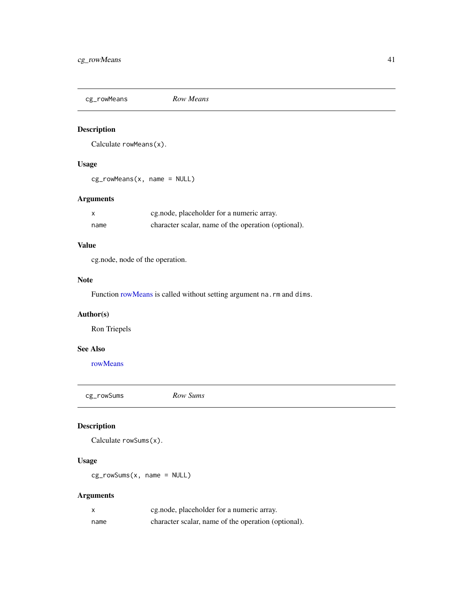<span id="page-40-0"></span>

Calculate rowMeans(x).

### Usage

cg\_rowMeans(x, name = NULL)

### Arguments

| x    | eg.node, placeholder for a numeric array.           |
|------|-----------------------------------------------------|
| name | character scalar, name of the operation (optional). |

### Value

cg.node, node of the operation.

#### Note

Function [rowMeans](#page-0-0) is called without setting argument na.rm and dims.

### Author(s)

Ron Triepels

### See Also

[rowMeans](#page-0-0)

cg\_rowSums *Row Sums*

### Description

Calculate rowSums(x).

#### Usage

cg\_rowSums(x, name = NULL)

| X    | eg.node, placeholder for a numeric array.           |
|------|-----------------------------------------------------|
| name | character scalar, name of the operation (optional). |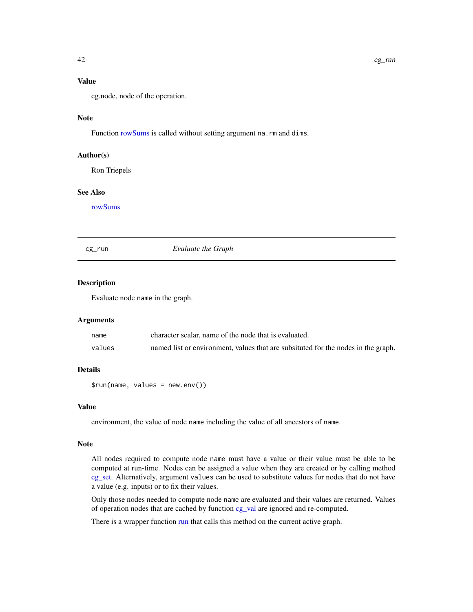#### <span id="page-41-0"></span>Note

Function [rowSums](#page-0-0) is called without setting argument na.rm and dims.

#### Author(s)

Ron Triepels

#### See Also

[rowSums](#page-0-0)

<span id="page-41-1"></span>cg\_run *Evaluate the Graph*

#### Description

Evaluate node name in the graph.

#### Arguments

| name   | character scalar, name of the node that is evaluated.                             |
|--------|-----------------------------------------------------------------------------------|
| values | named list or environment, values that are subsituted for the nodes in the graph. |

### Details

\$run(name, values = new.env())

#### Value

environment, the value of node name including the value of all ancestors of name.

#### Note

All nodes required to compute node name must have a value or their value must be able to be computed at run-time. Nodes can be assigned a value when they are created or by calling method [cg\\_set.](#page-42-1) Alternatively, argument values can be used to substitute values for nodes that do not have a value (e.g. inputs) or to fix their values.

Only those nodes needed to compute node name are evaluated and their values are returned. Values of operation nodes that are cached by function [cg\\_val](#page-50-1) are ignored and re-computed.

There is a wrapper function [run](#page-56-1) that calls this method on the current active graph.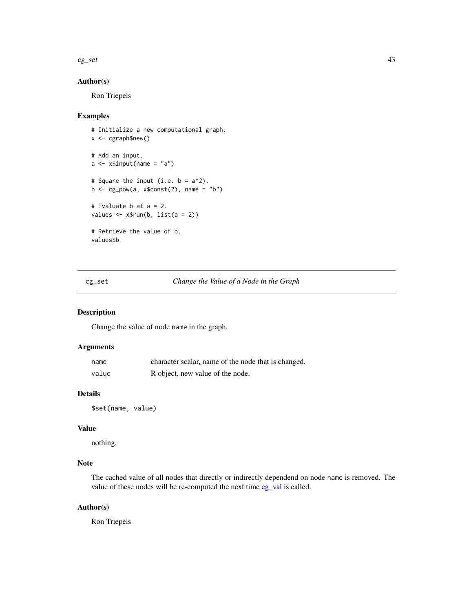#### <span id="page-42-0"></span> $c$ g\_set  $43$

### Author(s)

Ron Triepels

### Examples

```
# Initialize a new computational graph.
x <- cgraph$new()
# Add an input.
a \leq x$input(name = "a")
# Square the input (i.e. b = a^2).
b \leftarrow cg\_pow(a, x$const(2), name = "b")# Evaluate b at a = 2.
values \leq x$run(b, list(a = 2))
# Retrieve the value of b.
values$b
```
<span id="page-42-1"></span>cg\_set *Change the Value of a Node in the Graph*

#### Description

Change the value of node name in the graph.

#### Arguments

| name  | character scalar, name of the node that is changed. |
|-------|-----------------------------------------------------|
| value | R object, new value of the node.                    |

#### Details

\$set(name, value)

#### Value

nothing.

### Note

The cached value of all nodes that directly or indirectly dependend on node name is removed. The value of these nodes will be re-computed the next time [cg\\_val](#page-50-1) is called.

#### Author(s)

Ron Triepels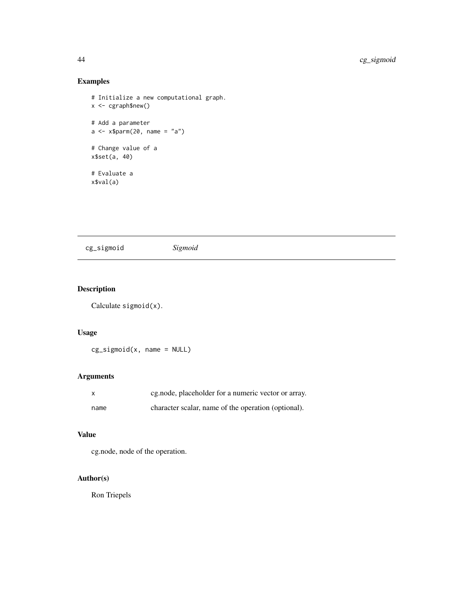### Examples

```
# Initialize a new computational graph.
x <- cgraph$new()
# Add a parameter
a \leq x$parm(20, name = "a")
# Change value of a
x$set(a, 40)
# Evaluate a
x$val(a)
```
cg\_sigmoid *Sigmoid*

## Description

Calculate sigmoid(x).

### Usage

```
cg\_sigmoid(x, name = NULL)
```
### Arguments

|      | cg.node, placeholder for a numeric vector or array. |
|------|-----------------------------------------------------|
| name | character scalar, name of the operation (optional). |

### Value

cg.node, node of the operation.

### Author(s)

Ron Triepels

<span id="page-43-0"></span>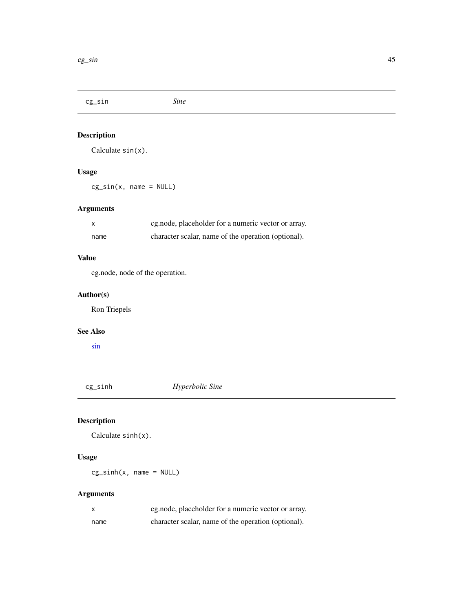<span id="page-44-0"></span>cg\_sin *Sine*

### Description

Calculate sin(x).

### Usage

cg\_sin(x, name = NULL)

### Arguments

| X    | eg.node, placeholder for a numeric vector or array. |
|------|-----------------------------------------------------|
| name | character scalar, name of the operation (optional). |

### Value

cg.node, node of the operation.

### Author(s)

Ron Triepels

### See Also

[sin](#page-0-0)

cg\_sinh *Hyperbolic Sine*

### Description

Calculate sinh(x).

### Usage

cg\_sinh(x, name = NULL)

| X    | eg.node, placeholder for a numeric vector or array. |
|------|-----------------------------------------------------|
| name | character scalar, name of the operation (optional). |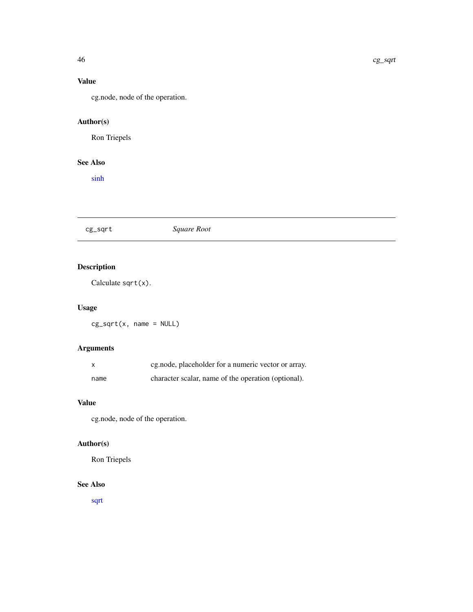### <span id="page-45-0"></span>Value

cg.node, node of the operation.

### Author(s)

Ron Triepels

### See Also

[sinh](#page-0-0)

### cg\_sqrt *Square Root*

## Description

Calculate sqrt(x).

### Usage

cg\_sqrt(x, name = NULL)

### Arguments

| <b>X</b> | eg.node, placeholder for a numeric vector or array. |
|----------|-----------------------------------------------------|
| name     | character scalar, name of the operation (optional). |

### Value

cg.node, node of the operation.

### Author(s)

Ron Triepels

### See Also

[sqrt](#page-0-0)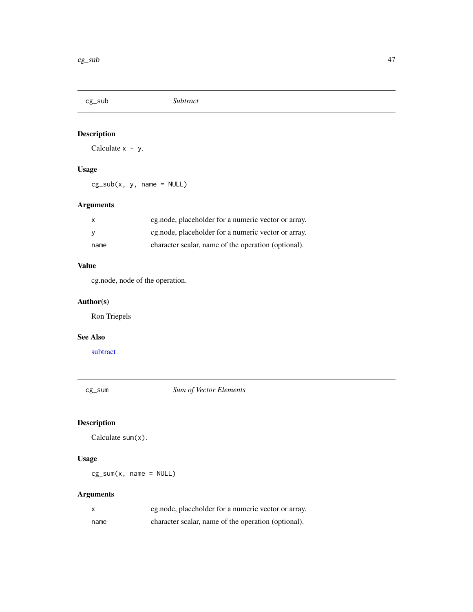<span id="page-46-0"></span>

Calculate  $x - y$ .

### Usage

 $cg\_sub(x, y, name = NULL)$ 

### Arguments

| X    | eg, node, placeholder for a numeric vector or array. |
|------|------------------------------------------------------|
|      | eg, node, placeholder for a numeric vector or array. |
| name | character scalar, name of the operation (optional).  |

### Value

cg.node, node of the operation.

### Author(s)

Ron Triepels

#### See Also

[subtract](#page-0-0)

cg\_sum *Sum of Vector Elements*

### Description

Calculate sum(x).

### Usage

 $cg\_sum(x, name = NULL)$ 

| X    | eg.node, placeholder for a numeric vector or array. |
|------|-----------------------------------------------------|
| name | character scalar, name of the operation (optional). |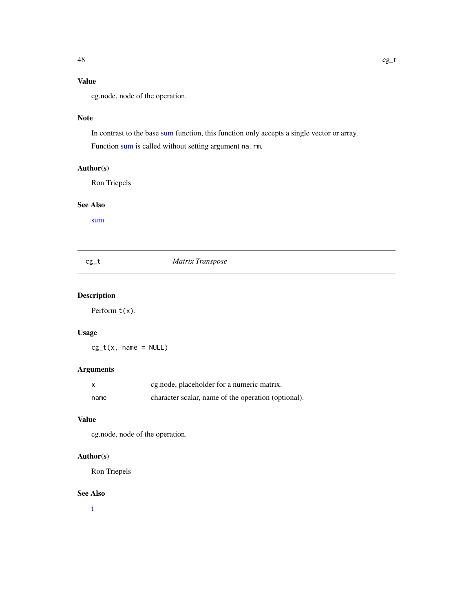### <span id="page-47-0"></span>Value

cg.node, node of the operation.

#### Note

In contrast to the base [sum](#page-0-0) function, this function only accepts a single vector or array.

Function [sum](#page-0-0) is called without setting argument na.rm.

#### Author(s)

Ron Triepels

#### See Also

[sum](#page-0-0)

## cg\_t *Matrix Transpose*

## Description

Perform  $t(x)$ .

### Usage

 $cg_t(x, name = NULL)$ 

### Arguments

|      | eg.node, placeholder for a numeric matrix.          |
|------|-----------------------------------------------------|
| name | character scalar, name of the operation (optional). |

#### Value

cg.node, node of the operation.

### Author(s)

Ron Triepels

### See Also

[t](#page-0-0)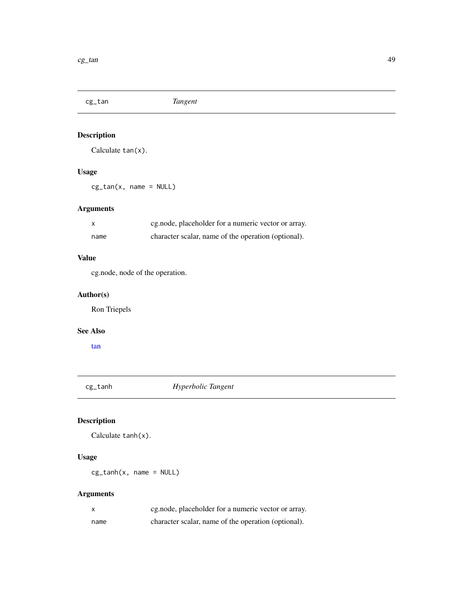<span id="page-48-0"></span>cg\_tan *Tangent*

### Description

Calculate tan(x).

### Usage

cg\_tan(x, name = NULL)

### Arguments

| X    | eg.node, placeholder for a numeric vector or array. |
|------|-----------------------------------------------------|
| name | character scalar, name of the operation (optional). |

### Value

cg.node, node of the operation.

### Author(s)

Ron Triepels

### See Also

[tan](#page-0-0)

cg\_tanh *Hyperbolic Tangent*

### Description

Calculate tanh(x).

### Usage

cg\_tanh(x, name = NULL)

| X    | eg.node, placeholder for a numeric vector or array. |
|------|-----------------------------------------------------|
| name | character scalar, name of the operation (optional). |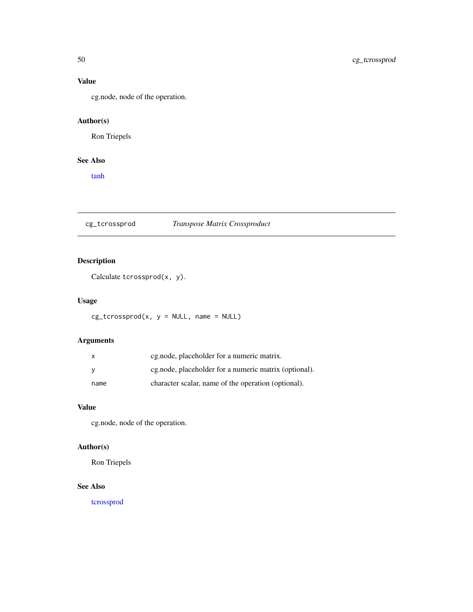### Value

cg.node, node of the operation.

### Author(s)

Ron Triepels

#### See Also

[tanh](#page-0-0)

cg\_tcrossprod *Transpose Matrix Crossproduct*

### Description

Calculate tcrossprod(x, y).

### Usage

 $cg\_tcrossprod(x, y = NULL, name = NULL)$ 

### Arguments

|      | eg.node, placeholder for a numeric matrix.            |
|------|-------------------------------------------------------|
|      | cg.node, placeholder for a numeric matrix (optional). |
| name | character scalar, name of the operation (optional).   |

### Value

cg.node, node of the operation.

### Author(s)

Ron Triepels

### See Also

[tcrossprod](#page-0-0)

<span id="page-49-0"></span>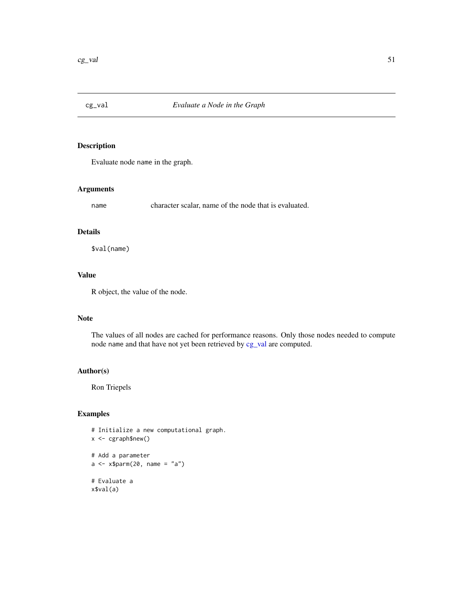<span id="page-50-1"></span><span id="page-50-0"></span>

Evaluate node name in the graph.

#### Arguments

name character scalar, name of the node that is evaluated.

#### Details

\$val(name)

### Value

R object, the value of the node.

#### Note

The values of all nodes are cached for performance reasons. Only those nodes needed to compute node name and that have not yet been retrieved by [cg\\_val](#page-50-1) are computed.

#### Author(s)

Ron Triepels

```
# Initialize a new computational graph.
x <- cgraph$new()
# Add a parameter
a \leq -x$parm(20, name = "a")
# Evaluate a
x$val(a)
```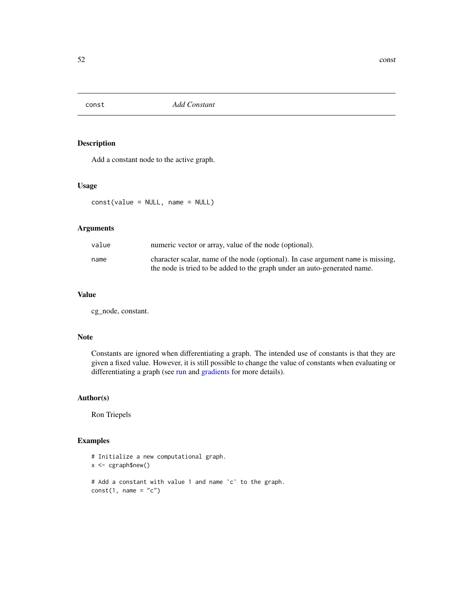<span id="page-51-1"></span><span id="page-51-0"></span>

Add a constant node to the active graph.

#### Usage

const(value = NULL, name = NULL)

#### Arguments

| value | numeric vector or array, value of the node (optional).                           |
|-------|----------------------------------------------------------------------------------|
| name  | character scalar, name of the node (optional). In case argument name is missing, |
|       | the node is tried to be added to the graph under an auto-generated name.         |

### Value

cg\_node, constant.

#### Note

Constants are ignored when differentiating a graph. The intended use of constants is that they are given a fixed value. However, it is still possible to change the value of constants when evaluating or differentiating a graph (see [run](#page-56-1) and [gradients](#page-52-1) for more details).

#### Author(s)

Ron Triepels

```
# Initialize a new computational graph.
x <- cgraph$new()
# Add a constant with value 1 and name 'c' to the graph.
const(1, name = "c")
```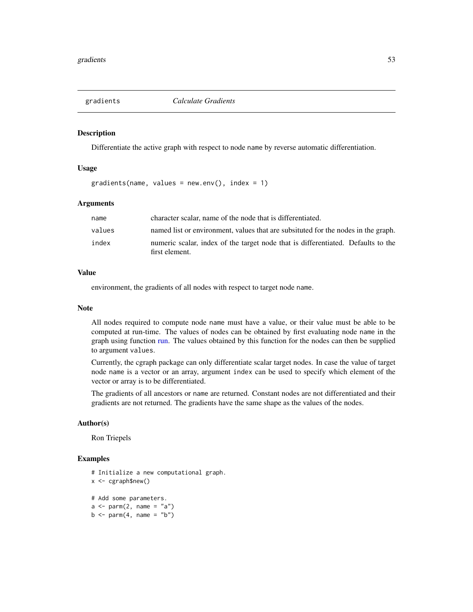<span id="page-52-1"></span><span id="page-52-0"></span>

Differentiate the active graph with respect to node name by reverse automatic differentiation.

#### Usage

gradients(name, values = new.env(), index = 1)

### Arguments

| name   | character scalar, name of the node that is differentiated.                                         |
|--------|----------------------------------------------------------------------------------------------------|
| values | named list or environment, values that are subsituted for the nodes in the graph.                  |
| index  | numeric scalar, index of the target node that is differentiated. Defaults to the<br>first element. |

#### Value

environment, the gradients of all nodes with respect to target node name.

#### Note

All nodes required to compute node name must have a value, or their value must be able to be computed at run-time. The values of nodes can be obtained by first evaluating node name in the graph using function [run.](#page-56-1) The values obtained by this function for the nodes can then be supplied to argument values.

Currently, the cgraph package can only differentiate scalar target nodes. In case the value of target node name is a vector or an array, argument index can be used to specify which element of the vector or array is to be differentiated.

The gradients of all ancestors or name are returned. Constant nodes are not differentiated and their gradients are not returned. The gradients have the same shape as the values of the nodes.

#### Author(s)

Ron Triepels

```
# Initialize a new computational graph.
x <- cgraph$new()
# Add some parameters.
a \leq parm(2, \text{ name} = "a")b \leq -\text{perm}(4, \text{ name } = "b")
```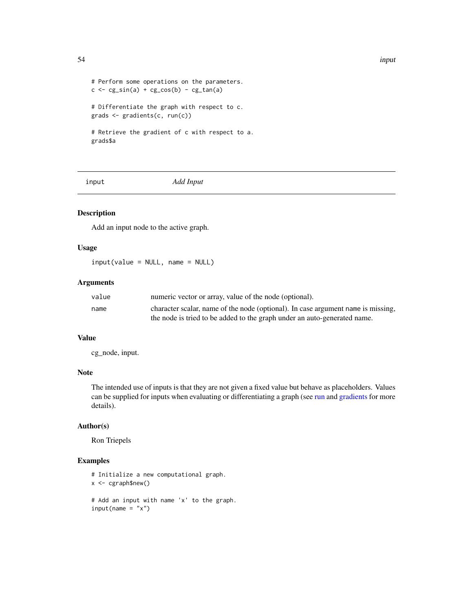```
# Perform some operations on the parameters.
c \leftarrow cg\_sin(a) + cg\_cos(b) - cg\_tan(a)# Differentiate the graph with respect to c.
grads <- gradients(c, run(c))
# Retrieve the gradient of c with respect to a.
grads$a
```
<span id="page-53-1"></span>

input *Add Input*

### Description

Add an input node to the active graph.

#### Usage

input(value = NULL, name = NULL)

### Arguments

| value | numeric vector or array, value of the node (optional).                           |
|-------|----------------------------------------------------------------------------------|
| name  | character scalar, name of the node (optional). In case argument name is missing, |
|       | the node is tried to be added to the graph under an auto-generated name.         |

#### Value

cg\_node, input.

#### Note

The intended use of inputs is that they are not given a fixed value but behave as placeholders. Values can be supplied for inputs when evaluating or differentiating a graph (see [run](#page-56-1) and [gradients](#page-52-1) for more details).

#### Author(s)

Ron Triepels

```
# Initialize a new computational graph.
x <- cgraph$new()
# Add an input with name 'x' to the graph.
input(name = "x")
```
<span id="page-53-0"></span>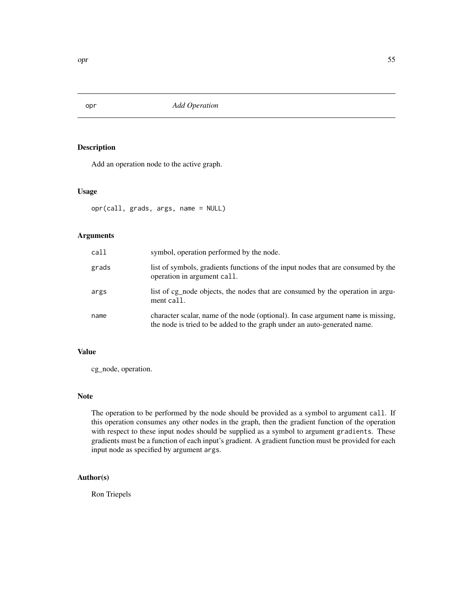<span id="page-54-1"></span><span id="page-54-0"></span>

Add an operation node to the active graph.

#### Usage

opr(call, grads, args, name = NULL)

### Arguments

| call  | symbol, operation performed by the node.                                                                                                                     |
|-------|--------------------------------------------------------------------------------------------------------------------------------------------------------------|
| grads | list of symbols, gradients functions of the input nodes that are consumed by the<br>operation in argument call.                                              |
| args  | list of cg_node objects, the nodes that are consumed by the operation in argu-<br>ment call.                                                                 |
| name  | character scalar, name of the node (optional). In case argument name is missing,<br>the node is tried to be added to the graph under an auto-generated name. |

### Value

cg\_node, operation.

### Note

The operation to be performed by the node should be provided as a symbol to argument call. If this operation consumes any other nodes in the graph, then the gradient function of the operation with respect to these input nodes should be supplied as a symbol to argument gradients. These gradients must be a function of each input's gradient. A gradient function must be provided for each input node as specified by argument args.

#### Author(s)

Ron Triepels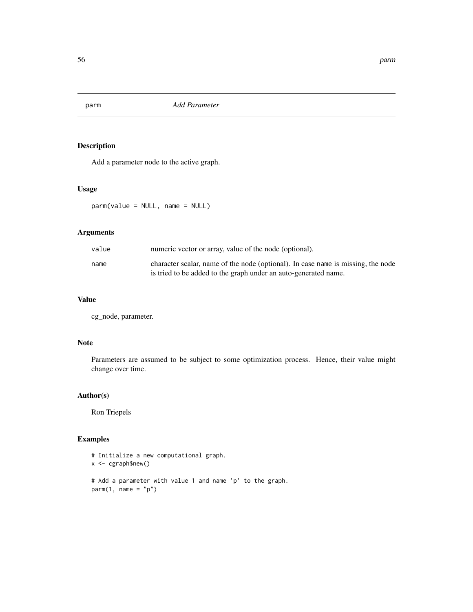<span id="page-55-1"></span><span id="page-55-0"></span>

Add a parameter node to the active graph.

#### Usage

parm(value = NULL, name = NULL)

### Arguments

| value | numeric vector or array, value of the node (optional).                                                                                              |
|-------|-----------------------------------------------------------------------------------------------------------------------------------------------------|
| name  | character scalar, name of the node (optional). In case name is missing, the node<br>is tried to be added to the graph under an auto-generated name. |

### Value

cg\_node, parameter.

#### Note

Parameters are assumed to be subject to some optimization process. Hence, their value might change over time.

#### Author(s)

Ron Triepels

```
# Initialize a new computational graph.
x <- cgraph$new()
# Add a parameter with value 1 and name 'p' to the graph.
parm(1, name = "p")
```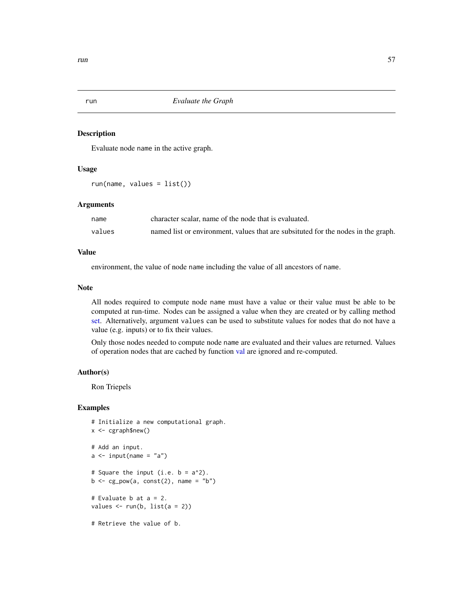<span id="page-56-1"></span><span id="page-56-0"></span>

Evaluate node name in the active graph.

#### Usage

```
run(name, values = list())
```
#### Arguments

| name   | character scalar, name of the node that is evaluated.                             |
|--------|-----------------------------------------------------------------------------------|
| values | named list or environment, values that are subsituted for the nodes in the graph. |

#### Value

environment, the value of node name including the value of all ancestors of name.

#### Note

All nodes required to compute node name must have a value or their value must be able to be computed at run-time. Nodes can be assigned a value when they are created or by calling method [set.](#page-57-1) Alternatively, argument values can be used to substitute values for nodes that do not have a value (e.g. inputs) or to fix their values.

Only those nodes needed to compute node name are evaluated and their values are returned. Values of operation nodes that are cached by function [val](#page-58-1) are ignored and re-computed.

#### Author(s)

Ron Triepels

```
# Initialize a new computational graph.
x < -cgraph$new()
# Add an input.
a \leftarrow input(name = "a")# Square the input (i.e. b = a^2).
b \leq -cg\_pow(a, const(2), name = "b")# Evaluate b at a = 2.
values \leftarrow run(b, list(a = 2))
# Retrieve the value of b.
```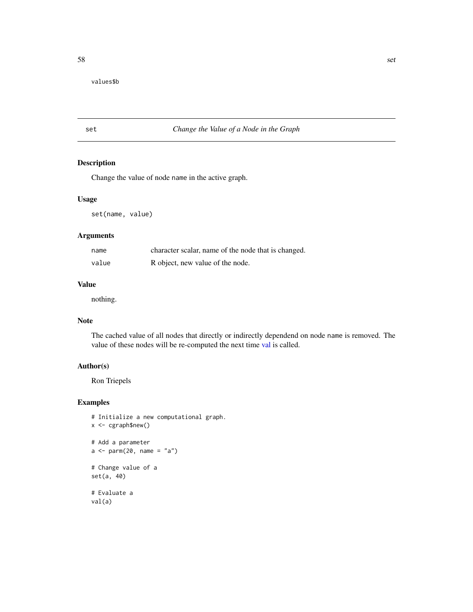<span id="page-57-0"></span>values\$b

### <span id="page-57-1"></span>set *Change the Value of a Node in the Graph*

#### Description

Change the value of node name in the active graph.

### Usage

set(name, value)

### Arguments

| name  | character scalar, name of the node that is changed. |
|-------|-----------------------------------------------------|
| value | R object, new value of the node.                    |

### Value

nothing.

#### Note

The cached value of all nodes that directly or indirectly dependend on node name is removed. The value of these nodes will be re-computed the next time [val](#page-58-1) is called.

### Author(s)

Ron Triepels

```
# Initialize a new computational graph.
x <- cgraph$new()
# Add a parameter
a \leftarrow \text{parm}(20, \text{ name} = "a")# Change value of a
set(a, 40)
# Evaluate a
val(a)
```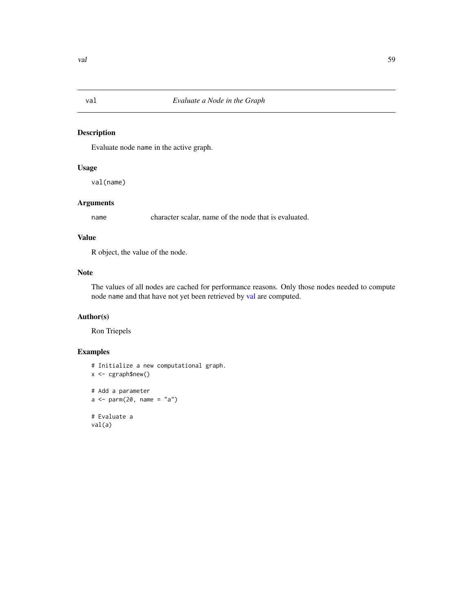<span id="page-58-1"></span><span id="page-58-0"></span>

Evaluate node name in the active graph.

### Usage

val(name)

### Arguments

name character scalar, name of the node that is evaluated.

#### Value

R object, the value of the node.

### Note

The values of all nodes are cached for performance reasons. Only those nodes needed to compute node name and that have not yet been retrieved by [val](#page-58-1) are computed.

### Author(s)

Ron Triepels

```
# Initialize a new computational graph.
x <- cgraph$new()
# Add a parameter
a \leftarrow \text{parm}(20, \text{ name} = "a")# Evaluate a
val(a)
```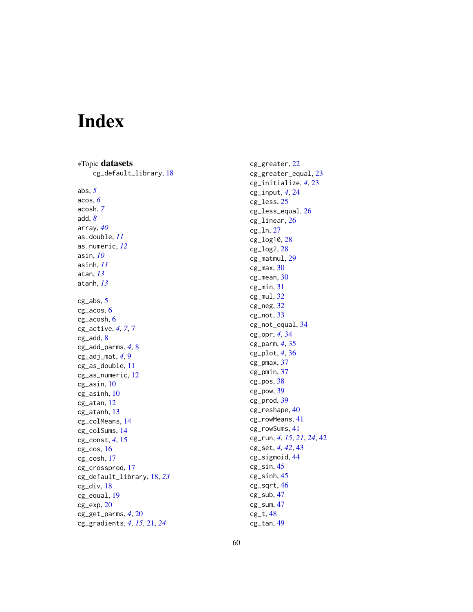# <span id="page-59-0"></span>Index

∗Topic datasets cg\_default\_library , [18](#page-17-0) abs , *[5](#page-4-0)* acos , *[6](#page-5-0)* acosh , *[7](#page-6-0)* add , *[8](#page-7-0)* array , *[40](#page-39-0)* as.double , *[11](#page-10-0)* as.numeric , *[12](#page-11-0)* asin , *[10](#page-9-0)* asinh , *[11](#page-10-0)* atan , *[13](#page-12-0)* atanh , *[13](#page-12-0)* cg\_abs , [5](#page-4-0) cg\_acos , [6](#page-5-0) cg\_acosh , [6](#page-5-0) cg\_active , *[4](#page-3-0)* , *[7](#page-6-0)* , [7](#page-6-0) cg\_add, [8](#page-7-0) cg\_add\_parms , *[4](#page-3-0)* , [8](#page-7-0) cg\_adj\_mat , *[4](#page-3-0)* , [9](#page-8-0) cg\_as\_double , [11](#page-10-0) cg\_as\_numeric , [12](#page-11-0) cg\_asin , [10](#page-9-0) cg\_asinh , [10](#page-9-0) cg\_atan , [12](#page-11-0) cg\_atanh , [13](#page-12-0) cg\_colMeans , [14](#page-13-0) cg\_colSums , [14](#page-13-0) cg\_const , *[4](#page-3-0)* , [15](#page-14-0) cg\_cos , [16](#page-15-0) cg\_cosh , [17](#page-16-0) cg\_crossprod , [17](#page-16-0) cg\_default\_library , [18](#page-17-0) , *[23](#page-22-0)* cg\_div , [18](#page-17-0) cg\_equal , [19](#page-18-0) cg\_exp , [20](#page-19-0) cg\_get\_parms , *[4](#page-3-0)* , [20](#page-19-0) cg\_gradients , *[4](#page-3-0)* , *[15](#page-14-0)* , [21](#page-20-0) , *[24](#page-23-0)*

cg\_greater , [22](#page-21-0) cg\_greater\_equal , [23](#page-22-0) cg\_initialize , *[4](#page-3-0)* , [23](#page-22-0) cg\_input , *[4](#page-3-0)* , [24](#page-23-0) cg\_less , [25](#page-24-0) cg\_less\_equal , [26](#page-25-0) cg\_linear , [26](#page-25-0) cg\_ln , [27](#page-26-0) cg\_log10 , [28](#page-27-0) cg\_log2 , [28](#page-27-0) cg\_matmul , [29](#page-28-0) cg\_max , [30](#page-29-0) cg\_mean , [30](#page-29-0) cg\_min , [31](#page-30-0) cg\_mul , [32](#page-31-0) cg\_neg<sub>, [32](#page-31-0)</sub> cg\_not , [33](#page-32-0) cg\_not\_equal , [34](#page-33-0) cg\_opr , *[4](#page-3-0)* , [34](#page-33-0) cg\_parm , *[4](#page-3-0)* , [35](#page-34-0) cg\_plot , *[4](#page-3-0)* , [36](#page-35-0) cg\_pmax , [37](#page-36-0) cg\_pmin , [37](#page-36-0) cg\_pos , [38](#page-37-0) cg\_pow , [39](#page-38-0) cg\_prod , [39](#page-38-0) cg\_reshape , [40](#page-39-0) cg\_rowMeans , [41](#page-40-0) cg\_rowSums , [41](#page-40-0) cg\_run , *[4](#page-3-0)* , *[15](#page-14-0)* , *[21](#page-20-0)* , *[24](#page-23-0)* , [42](#page-41-0) cg\_set , *[4](#page-3-0)* , *[42](#page-41-0)* , [43](#page-42-0) cg\_sigmoid , [44](#page-43-0) cg\_sin , [45](#page-44-0) cg\_sinh , [45](#page-44-0) cg\_sqrt , [46](#page-45-0) cg\_sub , [47](#page-46-0) cg\_sum , [47](#page-46-0) cg\_t , [48](#page-47-0)

cg\_tan , [49](#page-48-0)